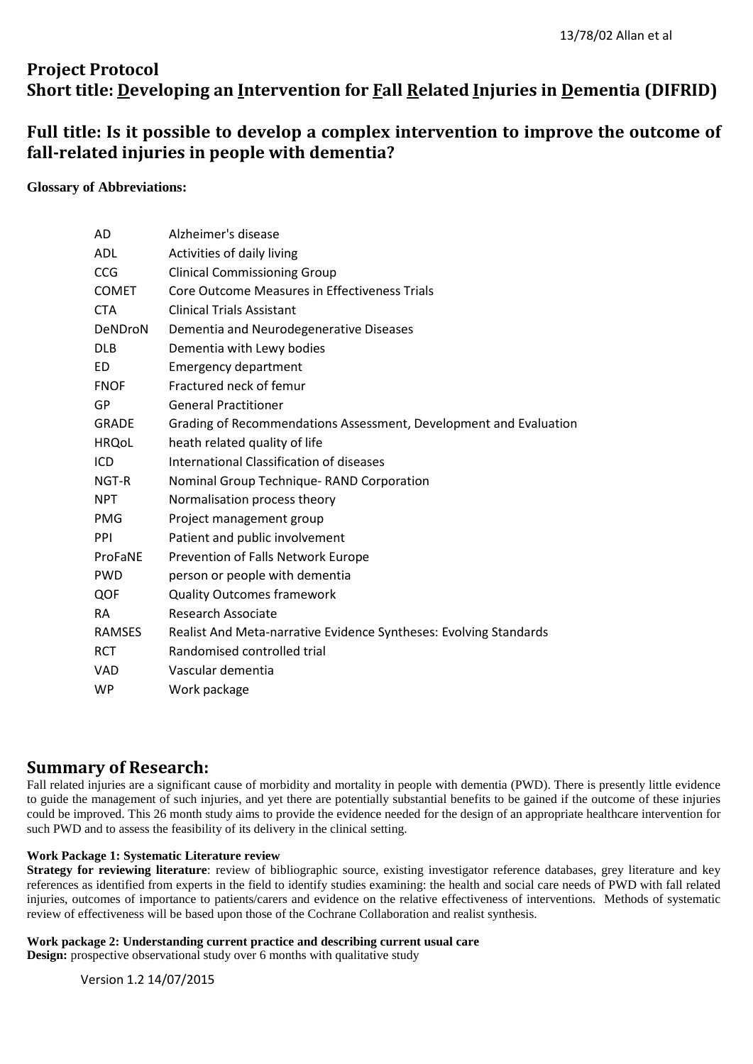# **Project Protocol Short title: Developing an Intervention for Fall Related Injuries in Dementia (DIFRID)**

# **Full title: Is it possible to develop a complex intervention to improve the outcome of fall-related injuries in people with dementia?**

## **Glossary of Abbreviations:**

| AD            | Alzheimer's disease                                               |
|---------------|-------------------------------------------------------------------|
| <b>ADL</b>    | Activities of daily living                                        |
| <b>CCG</b>    | <b>Clinical Commissioning Group</b>                               |
| <b>COMET</b>  | Core Outcome Measures in Effectiveness Trials                     |
| <b>CTA</b>    | <b>Clinical Trials Assistant</b>                                  |
| DeNDroN       | Dementia and Neurodegenerative Diseases                           |
| <b>DLB</b>    | Dementia with Lewy bodies                                         |
| ED            | <b>Emergency department</b>                                       |
| <b>FNOF</b>   | Fractured neck of femur                                           |
| GP            | <b>General Practitioner</b>                                       |
| <b>GRADE</b>  | Grading of Recommendations Assessment, Development and Evaluation |
| <b>HRQoL</b>  | heath related quality of life                                     |
| ICD           | International Classification of diseases                          |
| NGT-R         | Nominal Group Technique-RAND Corporation                          |
| <b>NPT</b>    | Normalisation process theory                                      |
| <b>PMG</b>    | Project management group                                          |
| PPI           | Patient and public involvement                                    |
| ProFaNE       | Prevention of Falls Network Europe                                |
| <b>PWD</b>    | person or people with dementia                                    |
| QOF           | <b>Quality Outcomes framework</b>                                 |
| <b>RA</b>     | <b>Research Associate</b>                                         |
| <b>RAMSES</b> | Realist And Meta-narrative Evidence Syntheses: Evolving Standards |
| <b>RCT</b>    | Randomised controlled trial                                       |
| <b>VAD</b>    | Vascular dementia                                                 |
| <b>WP</b>     | Work package                                                      |

## **Summary of Research:**

Fall related injuries are a significant cause of morbidity and mortality in people with dementia (PWD). There is presently little evidence to guide the management of such injuries, and yet there are potentially substantial benefits to be gained if the outcome of these injuries could be improved. This 26 month study aims to provide the evidence needed for the design of an appropriate healthcare intervention for such PWD and to assess the feasibility of its delivery in the clinical setting.

## **Work Package 1: Systematic Literature review**

**Strategy for reviewing literature**: review of bibliographic source, existing investigator reference databases, grey literature and key references as identified from experts in the field to identify studies examining: the health and social care needs of PWD with fall related injuries, outcomes of importance to patients/carers and evidence on the relative effectiveness of interventions. Methods of systematic review of effectiveness will be based upon those of the Cochrane Collaboration and realist synthesis.

## **Work package 2: Understanding current practice and describing current usual care**

**Design:** prospective observational study over 6 months with qualitative study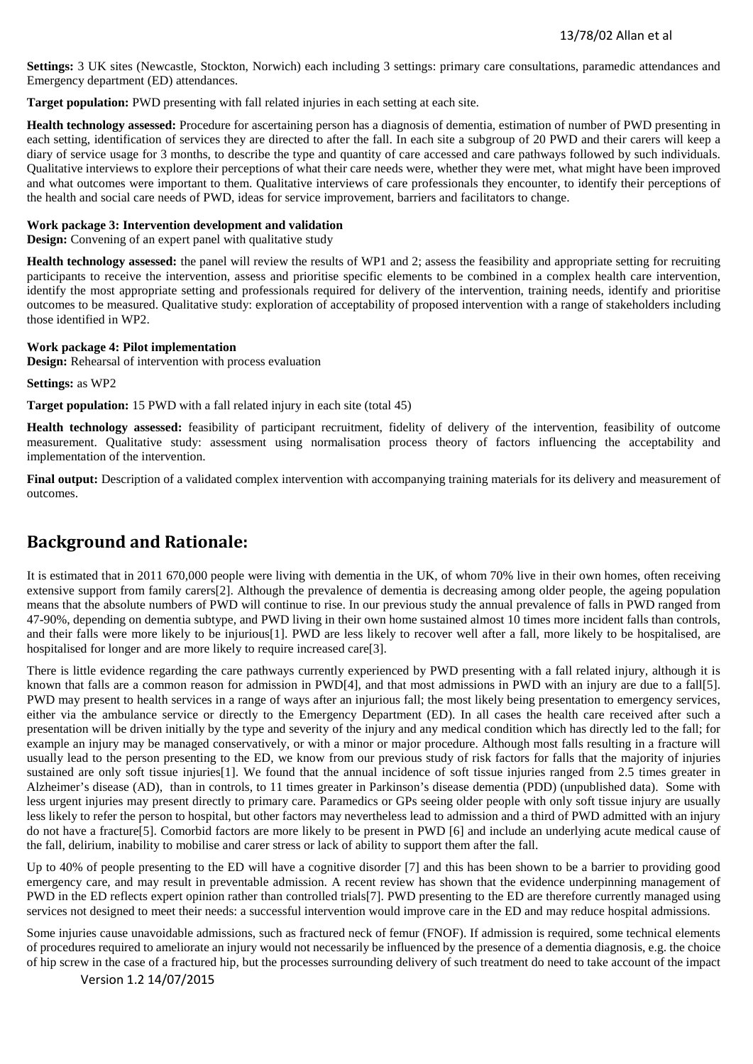**Settings:** 3 UK sites (Newcastle, Stockton, Norwich) each including 3 settings: primary care consultations, paramedic attendances and Emergency department (ED) attendances.

**Target population:** PWD presenting with fall related injuries in each setting at each site.

**Health technology assessed:** Procedure for ascertaining person has a diagnosis of dementia, estimation of number of PWD presenting in each setting, identification of services they are directed to after the fall. In each site a subgroup of 20 PWD and their carers will keep a diary of service usage for 3 months, to describe the type and quantity of care accessed and care pathways followed by such individuals. Qualitative interviews to explore their perceptions of what their care needs were, whether they were met, what might have been improved and what outcomes were important to them. Qualitative interviews of care professionals they encounter, to identify their perceptions of the health and social care needs of PWD, ideas for service improvement, barriers and facilitators to change.

## **Work package 3: Intervention development and validation**

**Design:** Convening of an expert panel with qualitative study

**Health technology assessed:** the panel will review the results of WP1 and 2; assess the feasibility and appropriate setting for recruiting participants to receive the intervention, assess and prioritise specific elements to be combined in a complex health care intervention, identify the most appropriate setting and professionals required for delivery of the intervention, training needs, identify and prioritise outcomes to be measured. Qualitative study: exploration of acceptability of proposed intervention with a range of stakeholders including those identified in WP2.

#### **Work package 4: Pilot implementation**

**Design:** Rehearsal of intervention with process evaluation

**Settings:** as WP2

**Target population:** 15 PWD with a fall related injury in each site (total 45)

**Health technology assessed:** feasibility of participant recruitment, fidelity of delivery of the intervention, feasibility of outcome measurement. Qualitative study: assessment using normalisation process theory of factors influencing the acceptability and implementation of the intervention.

**Final output:** Description of a validated complex intervention with accompanying training materials for its delivery and measurement of outcomes.

## **Background and Rationale:**

It is estimated that in 2011 670,000 people were living with dementia in the UK, of whom 70% live in their own homes, often receiving extensive support from family carers[2]. Although the prevalence of dementia is decreasing among older people, the ageing population means that the absolute numbers of PWD will continue to rise. In our previous study the annual prevalence of falls in PWD ranged from 47-90%, depending on dementia subtype, and PWD living in their own home sustained almost 10 times more incident falls than controls, and their falls were more likely to be injurious[1]. PWD are less likely to recover well after a fall, more likely to be hospitalised, are hospitalised for longer and are more likely to require increased care[3].

There is little evidence regarding the care pathways currently experienced by PWD presenting with a fall related injury, although it is known that falls are a common reason for admission in PWD[4], and that most admissions in PWD with an injury are due to a fall[5]. PWD may present to health services in a range of ways after an injurious fall; the most likely being presentation to emergency services, either via the ambulance service or directly to the Emergency Department (ED). In all cases the health care received after such a presentation will be driven initially by the type and severity of the injury and any medical condition which has directly led to the fall; for example an injury may be managed conservatively, or with a minor or major procedure. Although most falls resulting in a fracture will usually lead to the person presenting to the ED, we know from our previous study of risk factors for falls that the majority of injuries sustained are only soft tissue injuries[1]. We found that the annual incidence of soft tissue injuries ranged from 2.5 times greater in Alzheimer's disease (AD), than in controls, to 11 times greater in Parkinson's disease dementia (PDD) (unpublished data). Some with less urgent injuries may present directly to primary care. Paramedics or GPs seeing older people with only soft tissue injury are usually less likely to refer the person to hospital, but other factors may nevertheless lead to admission and a third of PWD admitted with an injury do not have a fracture[5]. Comorbid factors are more likely to be present in PWD [6] and include an underlying acute medical cause of the fall, delirium, inability to mobilise and carer stress or lack of ability to support them after the fall.

Up to 40% of people presenting to the ED will have a cognitive disorder [7] and this has been shown to be a barrier to providing good emergency care, and may result in preventable admission. A recent review has shown that the evidence underpinning management of PWD in the ED reflects expert opinion rather than controlled trials[7]. PWD presenting to the ED are therefore currently managed using services not designed to meet their needs: a successful intervention would improve care in the ED and may reduce hospital admissions.

Some injuries cause unavoidable admissions, such as fractured neck of femur (FNOF). If admission is required, some technical elements of procedures required to ameliorate an injury would not necessarily be influenced by the presence of a dementia diagnosis, e.g. the choice of hip screw in the case of a fractured hip, but the processes surrounding delivery of such treatment do need to take account of the impact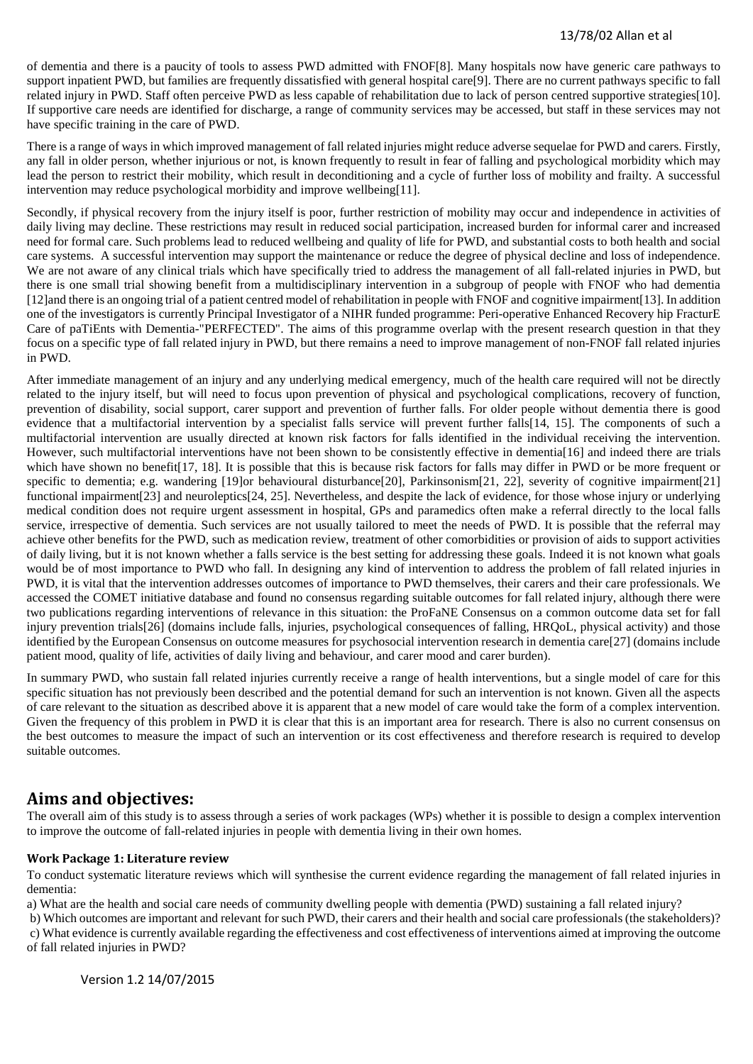of dementia and there is a paucity of tools to assess PWD admitted with FNOF[8]. Many hospitals now have generic care pathways to support inpatient PWD, but families are frequently dissatisfied with general hospital care[9]. There are no current pathways specific to fall related injury in PWD. Staff often perceive PWD as less capable of rehabilitation due to lack of person centred supportive strategies[10]. If supportive care needs are identified for discharge, a range of community services may be accessed, but staff in these services may not have specific training in the care of PWD.

There is a range of ways in which improved management of fall related injuries might reduce adverse sequelae for PWD and carers. Firstly, any fall in older person, whether injurious or not, is known frequently to result in fear of falling and psychological morbidity which may lead the person to restrict their mobility, which result in deconditioning and a cycle of further loss of mobility and frailty. A successful intervention may reduce psychological morbidity and improve wellbeing[11].

Secondly, if physical recovery from the injury itself is poor, further restriction of mobility may occur and independence in activities of daily living may decline. These restrictions may result in reduced social participation, increased burden for informal carer and increased need for formal care. Such problems lead to reduced wellbeing and quality of life for PWD, and substantial costs to both health and social care systems. A successful intervention may support the maintenance or reduce the degree of physical decline and loss of independence. We are not aware of any clinical trials which have specifically tried to address the management of all fall-related injuries in PWD, but there is one small trial showing benefit from a multidisciplinary intervention in a subgroup of people with FNOF who had dementia [12]and there is an ongoing trial of a patient centred model of rehabilitation in people with FNOF and cognitive impairment[13]. In addition one of the investigators is currently Principal Investigator of a NIHR funded programme: Peri-operative Enhanced Recovery hip FracturE Care of paTiEnts with Dementia-"PERFECTED". The aims of this programme overlap with the present research question in that they focus on a specific type of fall related injury in PWD, but there remains a need to improve management of non-FNOF fall related injuries in PWD.

After immediate management of an injury and any underlying medical emergency, much of the health care required will not be directly related to the injury itself, but will need to focus upon prevention of physical and psychological complications, recovery of function, prevention of disability, social support, carer support and prevention of further falls. For older people without dementia there is good evidence that a multifactorial intervention by a specialist falls service will prevent further falls[14, 15]. The components of such a multifactorial intervention are usually directed at known risk factors for falls identified in the individual receiving the intervention. However, such multifactorial interventions have not been shown to be consistently effective in dementia[16] and indeed there are trials which have shown no benefit<sup>[17, 18]</sup>. It is possible that this is because risk factors for falls may differ in PWD or be more frequent or specific to dementia; e.g. wandering [19]or behavioural disturbance[20], Parkinsonism[21, 22], severity of cognitive impairment[21] functional impairment[23] and neuroleptics[24, 25]. Nevertheless, and despite the lack of evidence, for those whose injury or underlying medical condition does not require urgent assessment in hospital, GPs and paramedics often make a referral directly to the local falls service, irrespective of dementia. Such services are not usually tailored to meet the needs of PWD. It is possible that the referral may achieve other benefits for the PWD, such as medication review, treatment of other comorbidities or provision of aids to support activities of daily living, but it is not known whether a falls service is the best setting for addressing these goals. Indeed it is not known what goals would be of most importance to PWD who fall. In designing any kind of intervention to address the problem of fall related injuries in PWD, it is vital that the intervention addresses outcomes of importance to PWD themselves, their carers and their care professionals. We accessed the COMET initiative database and found no consensus regarding suitable outcomes for fall related injury, although there were two publications regarding interventions of relevance in this situation: the ProFaNE Consensus on a common outcome data set for fall injury prevention trials[26] (domains include falls, injuries, psychological consequences of falling, HRQoL, physical activity) and those identified by the European Consensus on outcome measures for psychosocial intervention research in dementia care[27] (domains include patient mood, quality of life, activities of daily living and behaviour, and carer mood and carer burden).

In summary PWD, who sustain fall related injuries currently receive a range of health interventions, but a single model of care for this specific situation has not previously been described and the potential demand for such an intervention is not known. Given all the aspects of care relevant to the situation as described above it is apparent that a new model of care would take the form of a complex intervention. Given the frequency of this problem in PWD it is clear that this is an important area for research. There is also no current consensus on the best outcomes to measure the impact of such an intervention or its cost effectiveness and therefore research is required to develop suitable outcomes.

## **Aims and objectives:**

The overall aim of this study is to assess through a series of work packages (WPs) whether it is possible to design a complex intervention to improve the outcome of fall-related injuries in people with dementia living in their own homes.

## **Work Package 1: Literature review**

To conduct systematic literature reviews which will synthesise the current evidence regarding the management of fall related injuries in dementia:

a) What are the health and social care needs of community dwelling people with dementia (PWD) sustaining a fall related injury?

b) Which outcomes are important and relevant for such PWD, their carers and their health and social care professionals (the stakeholders)? c) What evidence is currently available regarding the effectiveness and cost effectiveness of interventions aimed at improving the outcome of fall related injuries in PWD?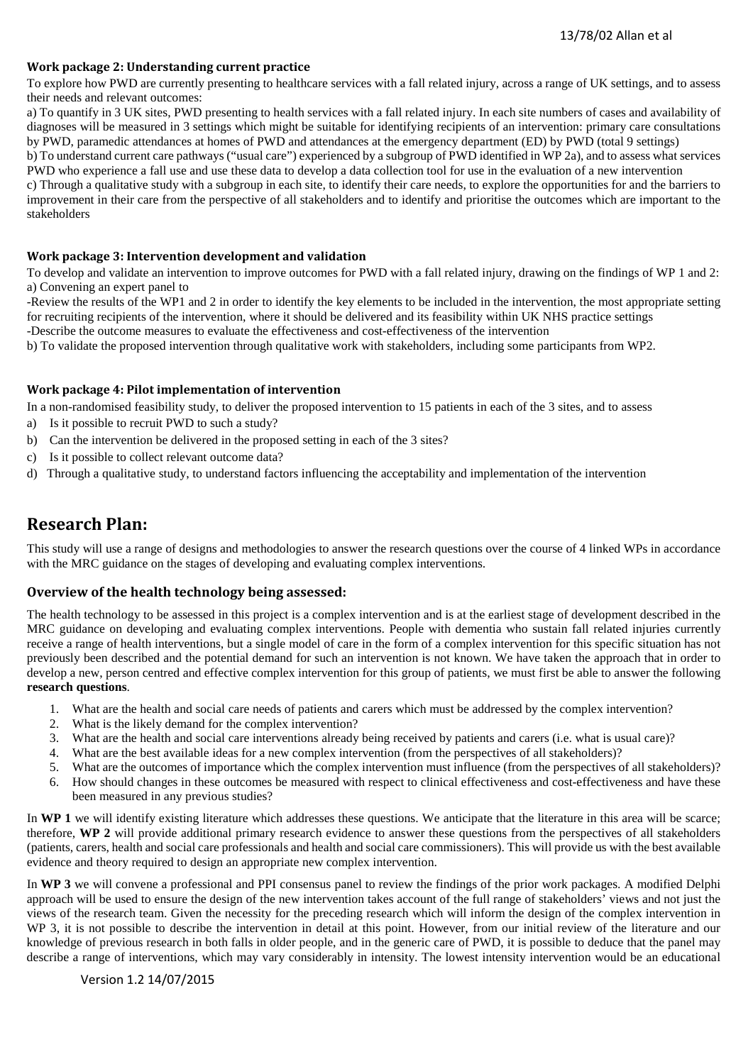## **Work package 2: Understanding current practice**

To explore how PWD are currently presenting to healthcare services with a fall related injury, across a range of UK settings, and to assess their needs and relevant outcomes:

a) To quantify in 3 UK sites, PWD presenting to health services with a fall related injury. In each site numbers of cases and availability of diagnoses will be measured in 3 settings which might be suitable for identifying recipients of an intervention: primary care consultations by PWD, paramedic attendances at homes of PWD and attendances at the emergency department (ED) by PWD (total 9 settings)

b) To understand current care pathways ("usual care") experienced by a subgroup of PWD identified in WP 2a), and to assess what services PWD who experience a fall use and use these data to develop a data collection tool for use in the evaluation of a new intervention

c) Through a qualitative study with a subgroup in each site, to identify their care needs, to explore the opportunities for and the barriers to improvement in their care from the perspective of all stakeholders and to identify and prioritise the outcomes which are important to the stakeholders

#### **Work package 3: Intervention development and validation**

To develop and validate an intervention to improve outcomes for PWD with a fall related injury, drawing on the findings of WP 1 and 2: a) Convening an expert panel to

-Review the results of the WP1 and 2 in order to identify the key elements to be included in the intervention, the most appropriate setting for recruiting recipients of the intervention, where it should be delivered and its feasibility within UK NHS practice settings

-Describe the outcome measures to evaluate the effectiveness and cost-effectiveness of the intervention

b) To validate the proposed intervention through qualitative work with stakeholders, including some participants from WP2.

#### **Work package 4: Pilot implementation of intervention**

In a non-randomised feasibility study, to deliver the proposed intervention to 15 patients in each of the 3 sites, and to assess

- a) Is it possible to recruit PWD to such a study?
- b) Can the intervention be delivered in the proposed setting in each of the 3 sites?
- c) Is it possible to collect relevant outcome data?
- d) Through a qualitative study, to understand factors influencing the acceptability and implementation of the intervention

## **Research Plan:**

This study will use a range of designs and methodologies to answer the research questions over the course of 4 linked WPs in accordance with the MRC guidance on the stages of developing and evaluating complex interventions.

## **Overview of the health technology being assessed:**

The health technology to be assessed in this project is a complex intervention and is at the earliest stage of development described in the MRC guidance on developing and evaluating complex interventions. People with dementia who sustain fall related injuries currently receive a range of health interventions, but a single model of care in the form of a complex intervention for this specific situation has not previously been described and the potential demand for such an intervention is not known. We have taken the approach that in order to develop a new, person centred and effective complex intervention for this group of patients, we must first be able to answer the following **research questions**.

- 1. What are the health and social care needs of patients and carers which must be addressed by the complex intervention?
- 2. What is the likely demand for the complex intervention?
- 3. What are the health and social care interventions already being received by patients and carers (i.e. what is usual care)?
- 4. What are the best available ideas for a new complex intervention (from the perspectives of all stakeholders)?
- 5. What are the outcomes of importance which the complex intervention must influence (from the perspectives of all stakeholders)? 6. How should changes in these outcomes be measured with respect to clinical effectiveness and cost-effectiveness and have these
- been measured in any previous studies?

In **WP 1** we will identify existing literature which addresses these questions. We anticipate that the literature in this area will be scarce; therefore, **WP 2** will provide additional primary research evidence to answer these questions from the perspectives of all stakeholders (patients, carers, health and social care professionals and health and social care commissioners). This will provide us with the best available evidence and theory required to design an appropriate new complex intervention.

In **WP 3** we will convene a professional and PPI consensus panel to review the findings of the prior work packages. A modified Delphi approach will be used to ensure the design of the new intervention takes account of the full range of stakeholders' views and not just the views of the research team. Given the necessity for the preceding research which will inform the design of the complex intervention in WP 3, it is not possible to describe the intervention in detail at this point. However, from our initial review of the literature and our knowledge of previous research in both falls in older people, and in the generic care of PWD, it is possible to deduce that the panel may describe a range of interventions, which may vary considerably in intensity. The lowest intensity intervention would be an educational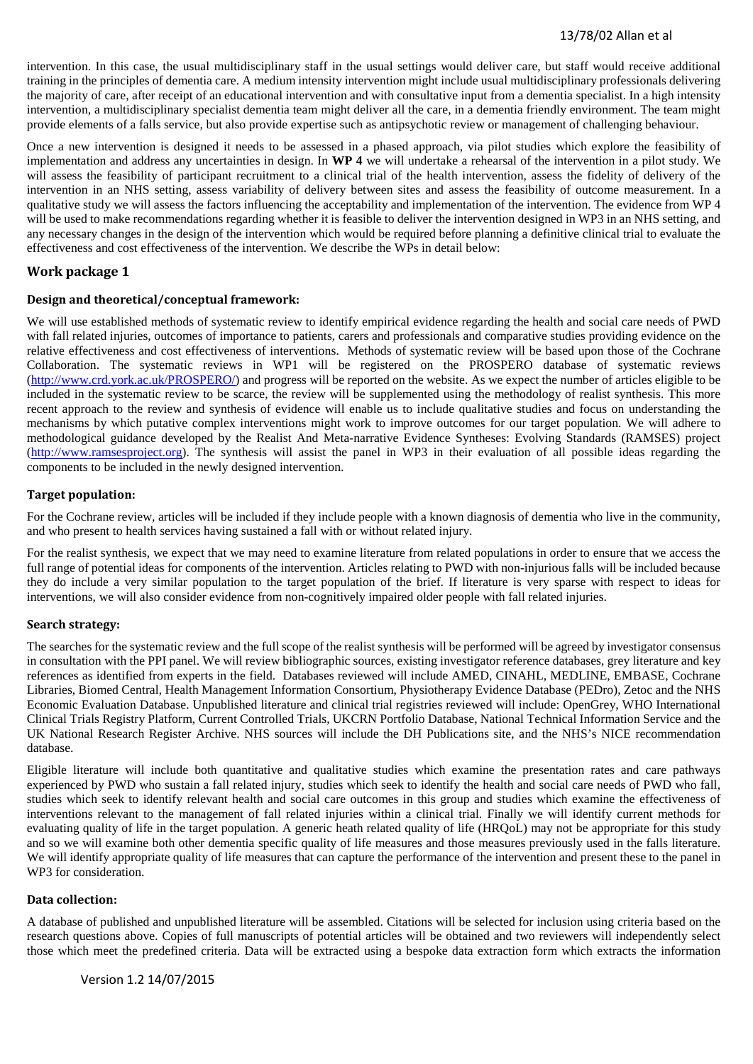## 13/78/02 Allan et al

intervention. In this case, the usual multidisciplinary staff in the usual settings would deliver care, but staff would receive additional training in the principles of dementia care. A medium intensity intervention might include usual multidisciplinary professionals delivering the majority of care, after receipt of an educational intervention and with consultative input from a dementia specialist. In a high intensity intervention, a multidisciplinary specialist dementia team might deliver all the care, in a dementia friendly environment. The team might provide elements of a falls service, but also provide expertise such as antipsychotic review or management of challenging behaviour.

Once a new intervention is designed it needs to be assessed in a phased approach, via pilot studies which explore the feasibility of implementation and address any uncertainties in design. In **WP 4** we will undertake a rehearsal of the intervention in a pilot study. We will assess the feasibility of participant recruitment to a clinical trial of the health intervention, assess the fidelity of delivery of the intervention in an NHS setting, assess variability of delivery between sites and assess the feasibility of outcome measurement. In a qualitative study we will assess the factors influencing the acceptability and implementation of the intervention. The evidence from WP 4 will be used to make recommendations regarding whether it is feasible to deliver the intervention designed in WP3 in an NHS setting, and any necessary changes in the design of the intervention which would be required before planning a definitive clinical trial to evaluate the effectiveness and cost effectiveness of the intervention. We describe the WPs in detail below:

## **Work package 1**

#### **Design and theoretical/conceptual framework:**

We will use established methods of systematic review to identify empirical evidence regarding the health and social care needs of PWD with fall related injuries, outcomes of importance to patients, carers and professionals and comparative studies providing evidence on the relative effectiveness and cost effectiveness of interventions. Methods of systematic review will be based upon those of the Cochrane Collaboration. The systematic reviews in WP1 will be registered on the PROSPERO database of systematic reviews [\(http://www.crd.york.ac.uk/PROSPERO/\)](http://www.crd.york.ac.uk/PROSPERO/) and progress will be reported on the website. As we expect the number of articles eligible to be included in the systematic review to be scarce, the review will be supplemented using the methodology of realist synthesis. This more recent approach to the review and synthesis of evidence will enable us to include qualitative studies and focus on understanding the mechanisms by which putative complex interventions might work to improve outcomes for our target population. We will adhere to methodological guidance developed by the Realist And Meta-narrative Evidence Syntheses: Evolving Standards (RAMSES) project [\(http://www.ramsesproject.org\)](http://www.ramsesproject.org/). The synthesis will assist the panel in WP3 in their evaluation of all possible ideas regarding the components to be included in the newly designed intervention.

#### **Target population:**

For the Cochrane review, articles will be included if they include people with a known diagnosis of dementia who live in the community, and who present to health services having sustained a fall with or without related injury.

For the realist synthesis, we expect that we may need to examine literature from related populations in order to ensure that we access the full range of potential ideas for components of the intervention. Articles relating to PWD with non-injurious falls will be included because they do include a very similar population to the target population of the brief. If literature is very sparse with respect to ideas for interventions, we will also consider evidence from non-cognitively impaired older people with fall related injuries.

#### **Search strategy:**

The searches for the systematic review and the full scope of the realist synthesis will be performed will be agreed by investigator consensus in consultation with the PPI panel. We will review bibliographic sources, existing investigator reference databases, grey literature and key references as identified from experts in the field. Databases reviewed will include AMED, CINAHL, MEDLINE, EMBASE, Cochrane Libraries, Biomed Central, Health Management Information Consortium, Physiotherapy Evidence Database (PEDro), Zetoc and the NHS Economic Evaluation Database. Unpublished literature and clinical trial registries reviewed will include: OpenGrey, WHO International Clinical Trials Registry Platform, Current Controlled Trials, UKCRN Portfolio Database, National Technical Information Service and the UK National Research Register Archive. NHS sources will include the DH Publications site, and the NHS's NICE recommendation database.

Eligible literature will include both quantitative and qualitative studies which examine the presentation rates and care pathways experienced by PWD who sustain a fall related injury, studies which seek to identify the health and social care needs of PWD who fall, studies which seek to identify relevant health and social care outcomes in this group and studies which examine the effectiveness of interventions relevant to the management of fall related injuries within a clinical trial. Finally we will identify current methods for evaluating quality of life in the target population. A generic heath related quality of life (HRQoL) may not be appropriate for this study and so we will examine both other dementia specific quality of life measures and those measures previously used in the falls literature. We will identify appropriate quality of life measures that can capture the performance of the intervention and present these to the panel in WP3 for consideration.

#### **Data collection:**

A database of published and unpublished literature will be assembled. Citations will be selected for inclusion using criteria based on the research questions above. Copies of full manuscripts of potential articles will be obtained and two reviewers will independently select those which meet the predefined criteria. Data will be extracted using a bespoke data extraction form which extracts the information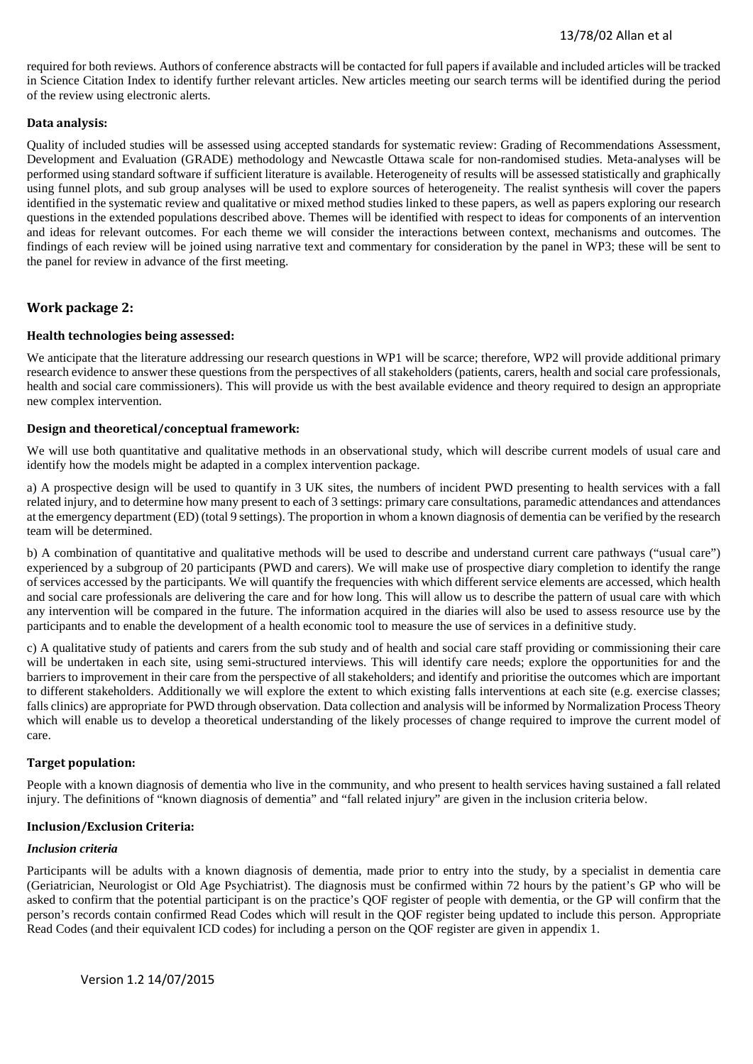required for both reviews. Authors of conference abstracts will be contacted for full papers if available and included articles will be tracked in Science Citation Index to identify further relevant articles. New articles meeting our search terms will be identified during the period of the review using electronic alerts.

## **Data analysis:**

Quality of included studies will be assessed using accepted standards for systematic review: Grading of Recommendations Assessment, Development and Evaluation (GRADE) methodology and Newcastle Ottawa scale for non-randomised studies. Meta-analyses will be performed using standard software if sufficient literature is available. Heterogeneity of results will be assessed statistically and graphically using funnel plots, and sub group analyses will be used to explore sources of heterogeneity. The realist synthesis will cover the papers identified in the systematic review and qualitative or mixed method studies linked to these papers, as well as papers exploring our research questions in the extended populations described above. Themes will be identified with respect to ideas for components of an intervention and ideas for relevant outcomes. For each theme we will consider the interactions between context, mechanisms and outcomes. The findings of each review will be joined using narrative text and commentary for consideration by the panel in WP3; these will be sent to the panel for review in advance of the first meeting.

## **Work package 2:**

## **Health technologies being assessed:**

We anticipate that the literature addressing our research questions in WP1 will be scarce; therefore, WP2 will provide additional primary research evidence to answer these questions from the perspectives of all stakeholders (patients, carers, health and social care professionals, health and social care commissioners). This will provide us with the best available evidence and theory required to design an appropriate new complex intervention.

## **Design and theoretical/conceptual framework:**

We will use both quantitative and qualitative methods in an observational study, which will describe current models of usual care and identify how the models might be adapted in a complex intervention package.

a) A prospective design will be used to quantify in 3 UK sites, the numbers of incident PWD presenting to health services with a fall related injury, and to determine how many present to each of 3 settings: primary care consultations, paramedic attendances and attendances at the emergency department (ED) (total 9 settings). The proportion in whom a known diagnosis of dementia can be verified by the research team will be determined.

b) A combination of quantitative and qualitative methods will be used to describe and understand current care pathways ("usual care") experienced by a subgroup of 20 participants (PWD and carers). We will make use of prospective diary completion to identify the range of services accessed by the participants. We will quantify the frequencies with which different service elements are accessed, which health and social care professionals are delivering the care and for how long. This will allow us to describe the pattern of usual care with which any intervention will be compared in the future. The information acquired in the diaries will also be used to assess resource use by the participants and to enable the development of a health economic tool to measure the use of services in a definitive study.

c) A qualitative study of patients and carers from the sub study and of health and social care staff providing or commissioning their care will be undertaken in each site, using semi-structured interviews. This will identify care needs; explore the opportunities for and the barriers to improvement in their care from the perspective of all stakeholders; and identify and prioritise the outcomes which are important to different stakeholders. Additionally we will explore the extent to which existing falls interventions at each site (e.g. exercise classes; falls clinics) are appropriate for PWD through observation. Data collection and analysis will be informed by Normalization Process Theory which will enable us to develop a theoretical understanding of the likely processes of change required to improve the current model of care.

#### **Target population:**

People with a known diagnosis of dementia who live in the community, and who present to health services having sustained a fall related injury. The definitions of "known diagnosis of dementia" and "fall related injury" are given in the inclusion criteria below.

## **Inclusion/Exclusion Criteria:**

#### *Inclusion criteria*

Participants will be adults with a known diagnosis of dementia, made prior to entry into the study, by a specialist in dementia care (Geriatrician, Neurologist or Old Age Psychiatrist). The diagnosis must be confirmed within 72 hours by the patient's GP who will be asked to confirm that the potential participant is on the practice's QOF register of people with dementia, or the GP will confirm that the person's records contain confirmed Read Codes which will result in the QOF register being updated to include this person. Appropriate Read Codes (and their equivalent ICD codes) for including a person on the QOF register are given in appendix 1.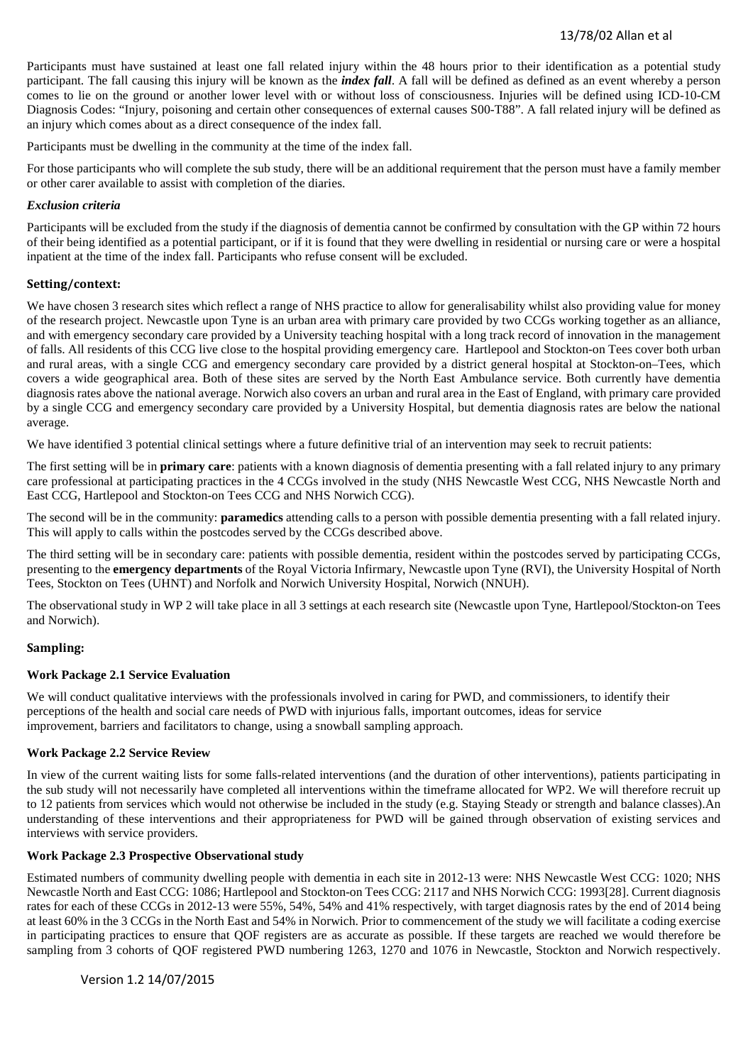Participants must have sustained at least one fall related injury within the 48 hours prior to their identification as a potential study participant. The fall causing this injury will be known as the *index fall*. A fall will be defined as defined as an event whereby a person comes to lie on the ground or another lower level with or without loss of consciousness. Injuries will be defined using ICD-10-CM Diagnosis Codes: "Injury, poisoning and certain other consequences of external causes S00-T88". A fall related injury will be defined as an injury which comes about as a direct consequence of the index fall.

Participants must be dwelling in the community at the time of the index fall.

For those participants who will complete the sub study, there will be an additional requirement that the person must have a family member or other carer available to assist with completion of the diaries.

#### *Exclusion criteria*

Participants will be excluded from the study if the diagnosis of dementia cannot be confirmed by consultation with the GP within 72 hours of their being identified as a potential participant, or if it is found that they were dwelling in residential or nursing care or were a hospital inpatient at the time of the index fall. Participants who refuse consent will be excluded.

#### **Setting/context:**

We have chosen 3 research sites which reflect a range of NHS practice to allow for generalisability whilst also providing value for money of the research project. Newcastle upon Tyne is an urban area with primary care provided by two CCGs working together as an alliance, and with emergency secondary care provided by a University teaching hospital with a long track record of innovation in the management of falls. All residents of this CCG live close to the hospital providing emergency care. Hartlepool and Stockton-on Tees cover both urban and rural areas, with a single CCG and emergency secondary care provided by a district general hospital at Stockton-on–Tees, which covers a wide geographical area. Both of these sites are served by the North East Ambulance service. Both currently have dementia diagnosis rates above the national average. Norwich also covers an urban and rural area in the East of England, with primary care provided by a single CCG and emergency secondary care provided by a University Hospital, but dementia diagnosis rates are below the national average.

We have identified 3 potential clinical settings where a future definitive trial of an intervention may seek to recruit patients:

The first setting will be in **primary care**: patients with a known diagnosis of dementia presenting with a fall related injury to any primary care professional at participating practices in the 4 CCGs involved in the study (NHS Newcastle West CCG, NHS Newcastle North and East CCG, Hartlepool and Stockton-on Tees CCG and NHS Norwich CCG).

The second will be in the community: **paramedics** attending calls to a person with possible dementia presenting with a fall related injury. This will apply to calls within the postcodes served by the CCGs described above.

The third setting will be in secondary care: patients with possible dementia, resident within the postcodes served by participating CCGs, presenting to the **emergency departments** of the Royal Victoria Infirmary, Newcastle upon Tyne (RVI), the University Hospital of North Tees, Stockton on Tees (UHNT) and Norfolk and Norwich University Hospital, Norwich (NNUH).

The observational study in WP 2 will take place in all 3 settings at each research site (Newcastle upon Tyne, Hartlepool/Stockton-on Tees and Norwich).

## **Sampling:**

## **Work Package 2.1 Service Evaluation**

We will conduct qualitative interviews with the professionals involved in caring for PWD, and commissioners, to identify their perceptions of the health and social care needs of PWD with injurious falls, important outcomes, ideas for service improvement, barriers and facilitators to change, using a snowball sampling approach.

#### **Work Package 2.2 Service Review**

In view of the current waiting lists for some falls-related interventions (and the duration of other interventions), patients participating in the sub study will not necessarily have completed all interventions within the timeframe allocated for WP2. We will therefore recruit up to 12 patients from services which would not otherwise be included in the study (e.g. Staying Steady or strength and balance classes).An understanding of these interventions and their appropriateness for PWD will be gained through observation of existing services and interviews with service providers.

## **Work Package 2.3 Prospective Observational study**

Estimated numbers of community dwelling people with dementia in each site in 2012-13 were: NHS Newcastle West CCG: 1020; NHS Newcastle North and East CCG: 1086; Hartlepool and Stockton-on Tees CCG: 2117 and NHS Norwich CCG: 1993[28]. Current diagnosis rates for each of these CCGs in 2012-13 were 55%, 54%, 54% and 41% respectively, with target diagnosis rates by the end of 2014 being at least 60% in the 3 CCGs in the North East and 54% in Norwich. Prior to commencement of the study we will facilitate a coding exercise in participating practices to ensure that QOF registers are as accurate as possible. If these targets are reached we would therefore be sampling from 3 cohorts of QOF registered PWD numbering 1263, 1270 and 1076 in Newcastle, Stockton and Norwich respectively.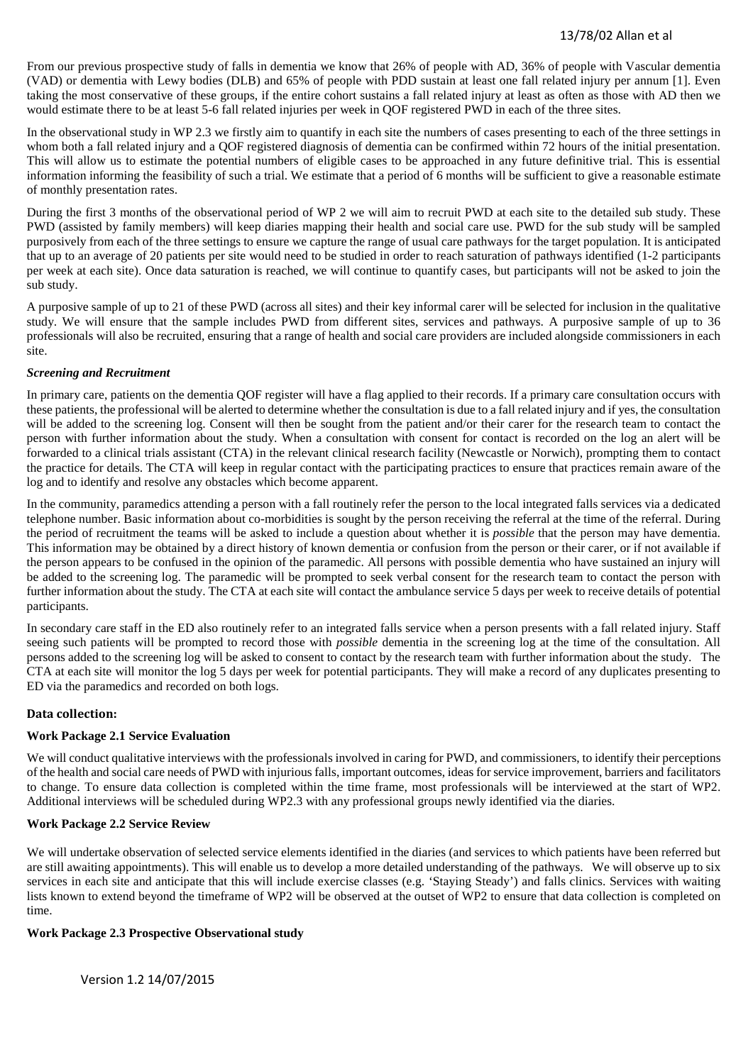From our previous prospective study of falls in dementia we know that 26% of people with AD, 36% of people with Vascular dementia (VAD) or dementia with Lewy bodies (DLB) and 65% of people with PDD sustain at least one fall related injury per annum [1]. Even taking the most conservative of these groups, if the entire cohort sustains a fall related injury at least as often as those with AD then we would estimate there to be at least 5-6 fall related injuries per week in QOF registered PWD in each of the three sites.

In the observational study in WP 2.3 we firstly aim to quantify in each site the numbers of cases presenting to each of the three settings in whom both a fall related injury and a QOF registered diagnosis of dementia can be confirmed within 72 hours of the initial presentation. This will allow us to estimate the potential numbers of eligible cases to be approached in any future definitive trial. This is essential information informing the feasibility of such a trial. We estimate that a period of 6 months will be sufficient to give a reasonable estimate of monthly presentation rates.

During the first 3 months of the observational period of WP 2 we will aim to recruit PWD at each site to the detailed sub study. These PWD (assisted by family members) will keep diaries mapping their health and social care use. PWD for the sub study will be sampled purposively from each of the three settings to ensure we capture the range of usual care pathways for the target population. It is anticipated that up to an average of 20 patients per site would need to be studied in order to reach saturation of pathways identified (1-2 participants per week at each site). Once data saturation is reached, we will continue to quantify cases, but participants will not be asked to join the sub study.

A purposive sample of up to 21 of these PWD (across all sites) and their key informal carer will be selected for inclusion in the qualitative study. We will ensure that the sample includes PWD from different sites, services and pathways. A purposive sample of up to 36 professionals will also be recruited, ensuring that a range of health and social care providers are included alongside commissioners in each site.

## *Screening and Recruitment*

In primary care, patients on the dementia QOF register will have a flag applied to their records. If a primary care consultation occurs with these patients, the professional will be alerted to determine whether the consultation is due to a fall related injury and if yes, the consultation will be added to the screening log. Consent will then be sought from the patient and/or their carer for the research team to contact the person with further information about the study. When a consultation with consent for contact is recorded on the log an alert will be forwarded to a clinical trials assistant (CTA) in the relevant clinical research facility (Newcastle or Norwich), prompting them to contact the practice for details. The CTA will keep in regular contact with the participating practices to ensure that practices remain aware of the log and to identify and resolve any obstacles which become apparent.

In the community, paramedics attending a person with a fall routinely refer the person to the local integrated falls services via a dedicated telephone number. Basic information about co-morbidities is sought by the person receiving the referral at the time of the referral. During the period of recruitment the teams will be asked to include a question about whether it is *possible* that the person may have dementia. This information may be obtained by a direct history of known dementia or confusion from the person or their carer, or if not available if the person appears to be confused in the opinion of the paramedic. All persons with possible dementia who have sustained an injury will be added to the screening log. The paramedic will be prompted to seek verbal consent for the research team to contact the person with further information about the study. The CTA at each site will contact the ambulance service 5 days per week to receive details of potential participants.

In secondary care staff in the ED also routinely refer to an integrated falls service when a person presents with a fall related injury. Staff seeing such patients will be prompted to record those with *possible* dementia in the screening log at the time of the consultation. All persons added to the screening log will be asked to consent to contact by the research team with further information about the study. The CTA at each site will monitor the log 5 days per week for potential participants. They will make a record of any duplicates presenting to ED via the paramedics and recorded on both logs.

## **Data collection:**

## **Work Package 2.1 Service Evaluation**

We will conduct qualitative interviews with the professionals involved in caring for PWD, and commissioners, to identify their perceptions of the health and social care needs of PWD with injurious falls, important outcomes, ideas for service improvement, barriers and facilitators to change. To ensure data collection is completed within the time frame, most professionals will be interviewed at the start of WP2. Additional interviews will be scheduled during WP2.3 with any professional groups newly identified via the diaries.

## **Work Package 2.2 Service Review**

We will undertake observation of selected service elements identified in the diaries (and services to which patients have been referred but are still awaiting appointments). This will enable us to develop a more detailed understanding of the pathways. We will observe up to six services in each site and anticipate that this will include exercise classes (e.g. 'Staying Steady') and falls clinics. Services with waiting lists known to extend beyond the timeframe of WP2 will be observed at the outset of WP2 to ensure that data collection is completed on time.

## **Work Package 2.3 Prospective Observational study**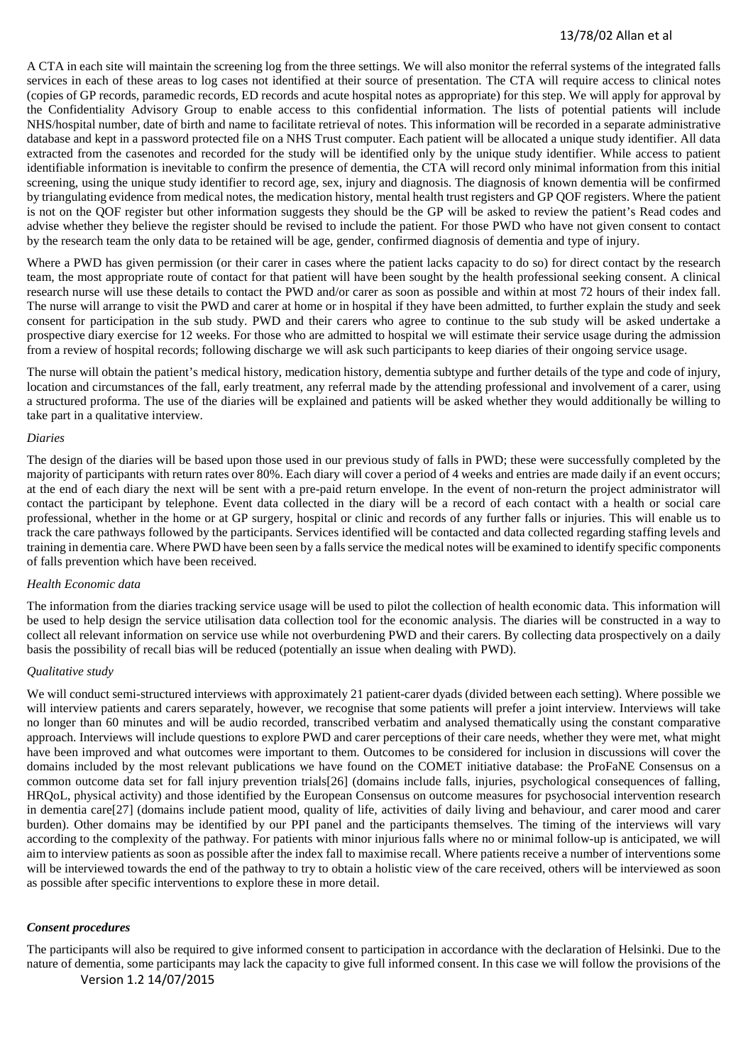A CTA in each site will maintain the screening log from the three settings. We will also monitor the referral systems of the integrated falls services in each of these areas to log cases not identified at their source of presentation. The CTA will require access to clinical notes (copies of GP records, paramedic records, ED records and acute hospital notes as appropriate) for this step. We will apply for approval by the Confidentiality Advisory Group to enable access to this confidential information. The lists of potential patients will include NHS/hospital number, date of birth and name to facilitate retrieval of notes. This information will be recorded in a separate administrative database and kept in a password protected file on a NHS Trust computer. Each patient will be allocated a unique study identifier. All data extracted from the casenotes and recorded for the study will be identified only by the unique study identifier. While access to patient identifiable information is inevitable to confirm the presence of dementia, the CTA will record only minimal information from this initial screening, using the unique study identifier to record age, sex, injury and diagnosis. The diagnosis of known dementia will be confirmed by triangulating evidence from medical notes, the medication history, mental health trust registers and GP QOF registers. Where the patient is not on the QOF register but other information suggests they should be the GP will be asked to review the patient's Read codes and advise whether they believe the register should be revised to include the patient. For those PWD who have not given consent to contact by the research team the only data to be retained will be age, gender, confirmed diagnosis of dementia and type of injury.

Where a PWD has given permission (or their carer in cases where the patient lacks capacity to do so) for direct contact by the research team, the most appropriate route of contact for that patient will have been sought by the health professional seeking consent. A clinical research nurse will use these details to contact the PWD and/or carer as soon as possible and within at most 72 hours of their index fall. The nurse will arrange to visit the PWD and carer at home or in hospital if they have been admitted, to further explain the study and seek consent for participation in the sub study. PWD and their carers who agree to continue to the sub study will be asked undertake a prospective diary exercise for 12 weeks. For those who are admitted to hospital we will estimate their service usage during the admission from a review of hospital records; following discharge we will ask such participants to keep diaries of their ongoing service usage.

The nurse will obtain the patient's medical history, medication history, dementia subtype and further details of the type and code of injury, location and circumstances of the fall, early treatment, any referral made by the attending professional and involvement of a carer, using a structured proforma. The use of the diaries will be explained and patients will be asked whether they would additionally be willing to take part in a qualitative interview.

#### *Diaries*

The design of the diaries will be based upon those used in our previous study of falls in PWD; these were successfully completed by the majority of participants with return rates over 80%. Each diary will cover a period of 4 weeks and entries are made daily if an event occurs; at the end of each diary the next will be sent with a pre-paid return envelope. In the event of non-return the project administrator will contact the participant by telephone. Event data collected in the diary will be a record of each contact with a health or social care professional, whether in the home or at GP surgery, hospital or clinic and records of any further falls or injuries. This will enable us to track the care pathways followed by the participants. Services identified will be contacted and data collected regarding staffing levels and training in dementia care. Where PWD have been seen by a falls service the medical notes will be examined to identify specific components of falls prevention which have been received.

#### *Health Economic data*

The information from the diaries tracking service usage will be used to pilot the collection of health economic data. This information will be used to help design the service utilisation data collection tool for the economic analysis. The diaries will be constructed in a way to collect all relevant information on service use while not overburdening PWD and their carers. By collecting data prospectively on a daily basis the possibility of recall bias will be reduced (potentially an issue when dealing with PWD).

#### *Qualitative study*

We will conduct semi-structured interviews with approximately 21 patient-carer dyads (divided between each setting). Where possible we will interview patients and carers separately, however, we recognise that some patients will prefer a joint interview. Interviews will take no longer than 60 minutes and will be audio recorded, transcribed verbatim and analysed thematically using the constant comparative approach. Interviews will include questions to explore PWD and carer perceptions of their care needs, whether they were met, what might have been improved and what outcomes were important to them. Outcomes to be considered for inclusion in discussions will cover the domains included by the most relevant publications we have found on the COMET initiative database: the ProFaNE Consensus on a common outcome data set for fall injury prevention trials[26] (domains include falls, injuries, psychological consequences of falling, HRQoL, physical activity) and those identified by the European Consensus on outcome measures for psychosocial intervention research in dementia care[27] (domains include patient mood, quality of life, activities of daily living and behaviour, and carer mood and carer burden). Other domains may be identified by our PPI panel and the participants themselves. The timing of the interviews will vary according to the complexity of the pathway. For patients with minor injurious falls where no or minimal follow-up is anticipated, we will aim to interview patients as soon as possible after the index fall to maximise recall. Where patients receive a number of interventions some will be interviewed towards the end of the pathway to try to obtain a holistic view of the care received, others will be interviewed as soon as possible after specific interventions to explore these in more detail.

## *Consent procedures*

Version 1.2 14/07/2015 The participants will also be required to give informed consent to participation in accordance with the declaration of Helsinki. Due to the nature of dementia, some participants may lack the capacity to give full informed consent. In this case we will follow the provisions of the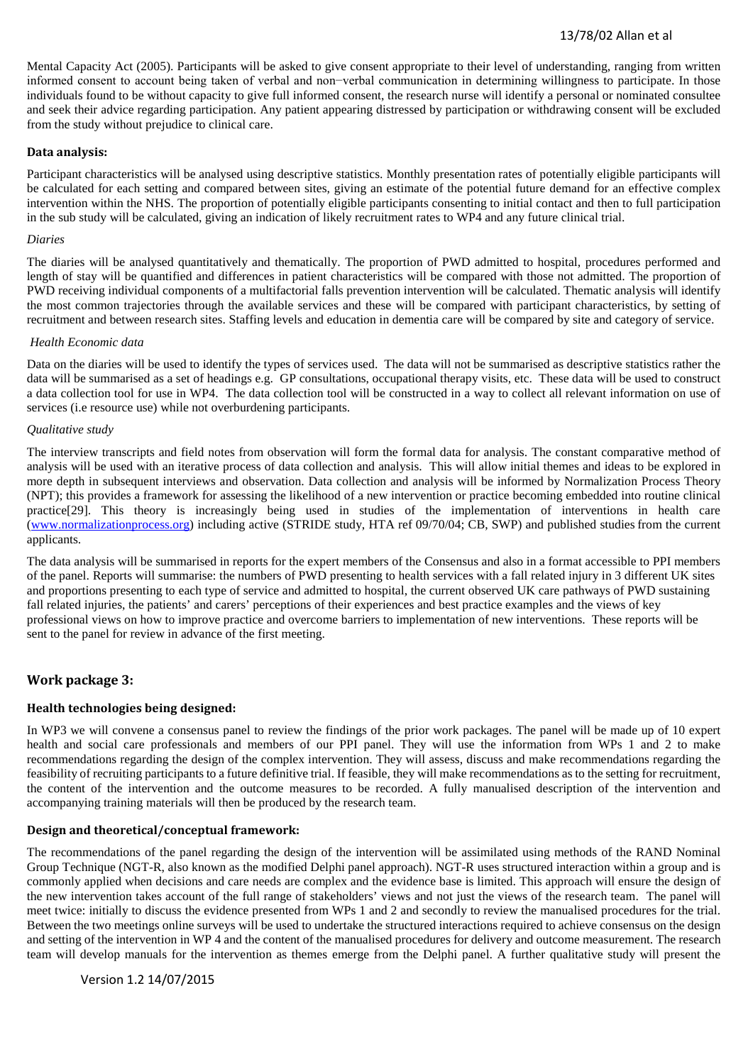## 13/78/02 Allan et al

Mental Capacity Act (2005). Participants will be asked to give consent appropriate to their level of understanding, ranging from written informed consent to account being taken of verbal and non−verbal communication in determining willingness to participate. In those individuals found to be without capacity to give full informed consent, the research nurse will identify a personal or nominated consultee and seek their advice regarding participation. Any patient appearing distressed by participation or withdrawing consent will be excluded from the study without prejudice to clinical care.

#### **Data analysis:**

Participant characteristics will be analysed using descriptive statistics. Monthly presentation rates of potentially eligible participants will be calculated for each setting and compared between sites, giving an estimate of the potential future demand for an effective complex intervention within the NHS. The proportion of potentially eligible participants consenting to initial contact and then to full participation in the sub study will be calculated, giving an indication of likely recruitment rates to WP4 and any future clinical trial.

#### *Diaries*

The diaries will be analysed quantitatively and thematically. The proportion of PWD admitted to hospital, procedures performed and length of stay will be quantified and differences in patient characteristics will be compared with those not admitted. The proportion of PWD receiving individual components of a multifactorial falls prevention intervention will be calculated. Thematic analysis will identify the most common trajectories through the available services and these will be compared with participant characteristics, by setting of recruitment and between research sites. Staffing levels and education in dementia care will be compared by site and category of service.

#### *Health Economic data*

Data on the diaries will be used to identify the types of services used. The data will not be summarised as descriptive statistics rather the data will be summarised as a set of headings e.g. GP consultations, occupational therapy visits, etc. These data will be used to construct a data collection tool for use in WP4. The data collection tool will be constructed in a way to collect all relevant information on use of services (i.e resource use) while not overburdening participants.

#### *Qualitative study*

The interview transcripts and field notes from observation will form the formal data for analysis. The constant comparative method of analysis will be used with an iterative process of data collection and analysis. This will allow initial themes and ideas to be explored in more depth in subsequent interviews and observation. Data collection and analysis will be informed by Normalization Process Theory (NPT); this provides a framework for assessing the likelihood of a new intervention or practice becoming embedded into routine clinical practice[29]. This theory is increasingly being used in studies of the implementation of interventions in health care [\(www.normalizationprocess.org\)](http://www.normalizationprocess.org/) including active (STRIDE study, HTA ref 09/70/04; CB, SWP) and published studies from the current applicants.

The data analysis will be summarised in reports for the expert members of the Consensus and also in a format accessible to PPI members of the panel. Reports will summarise: the numbers of PWD presenting to health services with a fall related injury in 3 different UK sites and proportions presenting to each type of service and admitted to hospital, the current observed UK care pathways of PWD sustaining fall related injuries, the patients' and carers' perceptions of their experiences and best practice examples and the views of key professional views on how to improve practice and overcome barriers to implementation of new interventions. These reports will be sent to the panel for review in advance of the first meeting.

## **Work package 3:**

## **Health technologies being designed:**

In WP3 we will convene a consensus panel to review the findings of the prior work packages. The panel will be made up of 10 expert health and social care professionals and members of our PPI panel. They will use the information from WPs 1 and 2 to make recommendations regarding the design of the complex intervention. They will assess, discuss and make recommendations regarding the feasibility of recruiting participants to a future definitive trial. If feasible, they will make recommendations as to the setting for recruitment, the content of the intervention and the outcome measures to be recorded. A fully manualised description of the intervention and accompanying training materials will then be produced by the research team.

## **Design and theoretical/conceptual framework:**

The recommendations of the panel regarding the design of the intervention will be assimilated using methods of the RAND Nominal Group Technique (NGT-R, also known as the modified Delphi panel approach). NGT-R uses structured interaction within a group and is commonly applied when decisions and care needs are complex and the evidence base is limited. This approach will ensure the design of the new intervention takes account of the full range of stakeholders' views and not just the views of the research team. The panel will meet twice: initially to discuss the evidence presented from WPs 1 and 2 and secondly to review the manualised procedures for the trial. Between the two meetings online surveys will be used to undertake the structured interactions required to achieve consensus on the design and setting of the intervention in WP 4 and the content of the manualised procedures for delivery and outcome measurement. The research team will develop manuals for the intervention as themes emerge from the Delphi panel. A further qualitative study will present the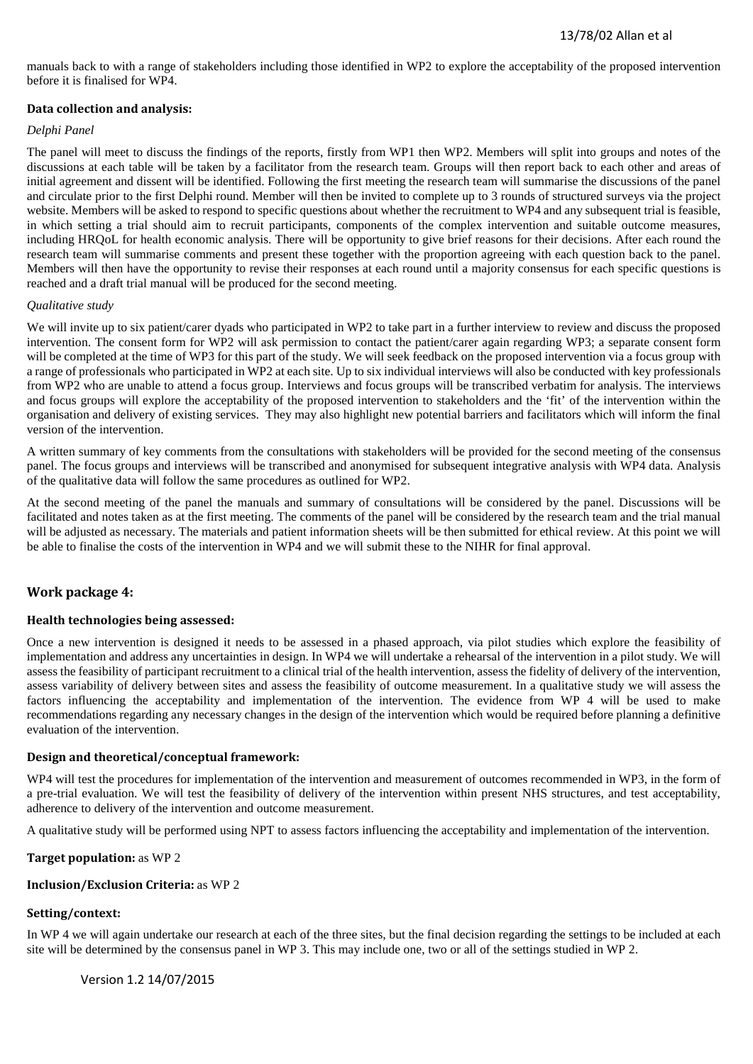manuals back to with a range of stakeholders including those identified in WP2 to explore the acceptability of the proposed intervention before it is finalised for WP4.

## **Data collection and analysis:**

#### *Delphi Panel*

The panel will meet to discuss the findings of the reports, firstly from WP1 then WP2. Members will split into groups and notes of the discussions at each table will be taken by a facilitator from the research team. Groups will then report back to each other and areas of initial agreement and dissent will be identified. Following the first meeting the research team will summarise the discussions of the panel and circulate prior to the first Delphi round. Member will then be invited to complete up to 3 rounds of structured surveys via the project website. Members will be asked to respond to specific questions about whether the recruitment to WP4 and any subsequent trial is feasible, in which setting a trial should aim to recruit participants, components of the complex intervention and suitable outcome measures, including HRQoL for health economic analysis. There will be opportunity to give brief reasons for their decisions. After each round the research team will summarise comments and present these together with the proportion agreeing with each question back to the panel. Members will then have the opportunity to revise their responses at each round until a majority consensus for each specific questions is reached and a draft trial manual will be produced for the second meeting.

#### *Qualitative study*

We will invite up to six patient/carer dyads who participated in WP2 to take part in a further interview to review and discuss the proposed intervention. The consent form for WP2 will ask permission to contact the patient/carer again regarding WP3; a separate consent form will be completed at the time of WP3 for this part of the study. We will seek feedback on the proposed intervention via a focus group with a range of professionals who participated in WP2 at each site. Up to six individual interviews will also be conducted with key professionals from WP2 who are unable to attend a focus group. Interviews and focus groups will be transcribed verbatim for analysis. The interviews and focus groups will explore the acceptability of the proposed intervention to stakeholders and the 'fit' of the intervention within the organisation and delivery of existing services. They may also highlight new potential barriers and facilitators which will inform the final version of the intervention.

A written summary of key comments from the consultations with stakeholders will be provided for the second meeting of the consensus panel. The focus groups and interviews will be transcribed and anonymised for subsequent integrative analysis with WP4 data. Analysis of the qualitative data will follow the same procedures as outlined for WP2.

At the second meeting of the panel the manuals and summary of consultations will be considered by the panel. Discussions will be facilitated and notes taken as at the first meeting. The comments of the panel will be considered by the research team and the trial manual will be adjusted as necessary. The materials and patient information sheets will be then submitted for ethical review. At this point we will be able to finalise the costs of the intervention in WP4 and we will submit these to the NIHR for final approval.

## **Work package 4:**

#### **Health technologies being assessed:**

Once a new intervention is designed it needs to be assessed in a phased approach, via pilot studies which explore the feasibility of implementation and address any uncertainties in design. In WP4 we will undertake a rehearsal of the intervention in a pilot study. We will assess the feasibility of participant recruitment to a clinical trial of the health intervention, assess the fidelity of delivery of the intervention, assess variability of delivery between sites and assess the feasibility of outcome measurement. In a qualitative study we will assess the factors influencing the acceptability and implementation of the intervention. The evidence from WP 4 will be used to make recommendations regarding any necessary changes in the design of the intervention which would be required before planning a definitive evaluation of the intervention.

#### **Design and theoretical/conceptual framework:**

WP4 will test the procedures for implementation of the intervention and measurement of outcomes recommended in WP3, in the form of a pre-trial evaluation. We will test the feasibility of delivery of the intervention within present NHS structures, and test acceptability, adherence to delivery of the intervention and outcome measurement.

A qualitative study will be performed using NPT to assess factors influencing the acceptability and implementation of the intervention.

#### **Target population:** as WP 2

#### **Inclusion/Exclusion Criteria:** as WP 2

## **Setting/context:**

In WP 4 we will again undertake our research at each of the three sites, but the final decision regarding the settings to be included at each site will be determined by the consensus panel in WP 3. This may include one, two or all of the settings studied in WP 2.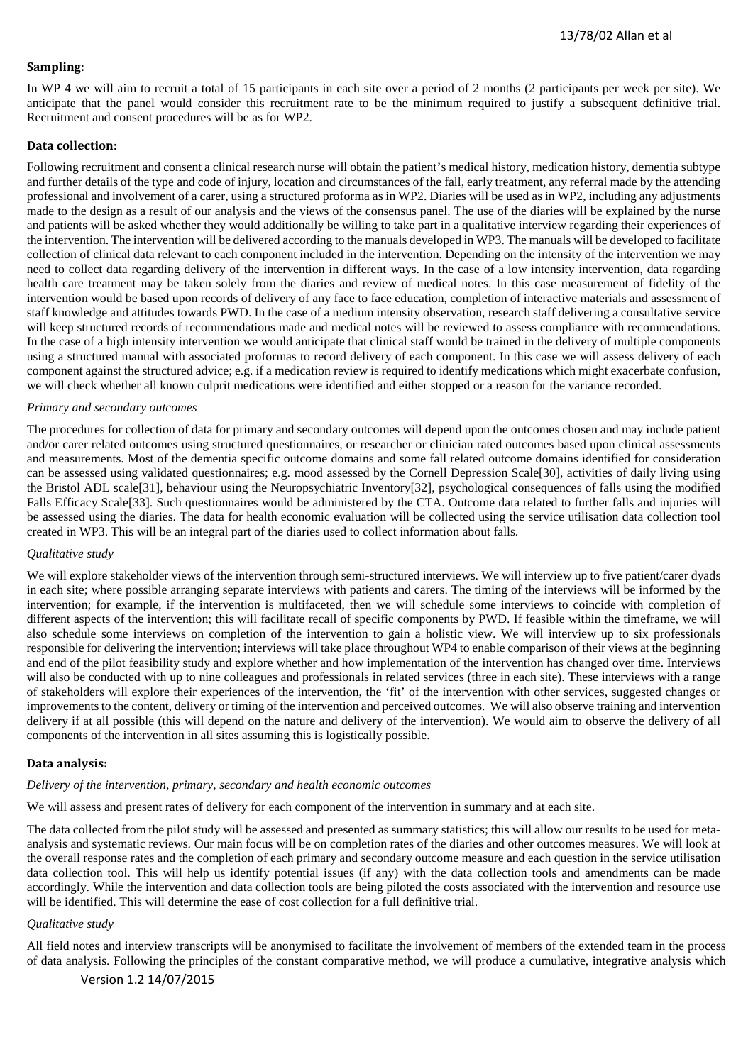#### **Sampling:**

In WP 4 we will aim to recruit a total of 15 participants in each site over a period of 2 months (2 participants per week per site). We anticipate that the panel would consider this recruitment rate to be the minimum required to justify a subsequent definitive trial. Recruitment and consent procedures will be as for WP2.

## **Data collection:**

Following recruitment and consent a clinical research nurse will obtain the patient's medical history, medication history, dementia subtype and further details of the type and code of injury, location and circumstances of the fall, early treatment, any referral made by the attending professional and involvement of a carer, using a structured proforma as in WP2. Diaries will be used as in WP2, including any adjustments made to the design as a result of our analysis and the views of the consensus panel. The use of the diaries will be explained by the nurse and patients will be asked whether they would additionally be willing to take part in a qualitative interview regarding their experiences of the intervention. The intervention will be delivered according to the manuals developed in WP3. The manuals will be developed to facilitate collection of clinical data relevant to each component included in the intervention. Depending on the intensity of the intervention we may need to collect data regarding delivery of the intervention in different ways. In the case of a low intensity intervention, data regarding health care treatment may be taken solely from the diaries and review of medical notes. In this case measurement of fidelity of the intervention would be based upon records of delivery of any face to face education, completion of interactive materials and assessment of staff knowledge and attitudes towards PWD. In the case of a medium intensity observation, research staff delivering a consultative service will keep structured records of recommendations made and medical notes will be reviewed to assess compliance with recommendations. In the case of a high intensity intervention we would anticipate that clinical staff would be trained in the delivery of multiple components using a structured manual with associated proformas to record delivery of each component. In this case we will assess delivery of each component against the structured advice; e.g. if a medication review is required to identify medications which might exacerbate confusion, we will check whether all known culprit medications were identified and either stopped or a reason for the variance recorded.

#### *Primary and secondary outcomes*

The procedures for collection of data for primary and secondary outcomes will depend upon the outcomes chosen and may include patient and/or carer related outcomes using structured questionnaires, or researcher or clinician rated outcomes based upon clinical assessments and measurements. Most of the dementia specific outcome domains and some fall related outcome domains identified for consideration can be assessed using validated questionnaires; e.g. mood assessed by the Cornell Depression Scale[30], activities of daily living using the Bristol ADL scale[31], behaviour using the Neuropsychiatric Inventory[32], psychological consequences of falls using the modified Falls Efficacy Scale[33]. Such questionnaires would be administered by the CTA. Outcome data related to further falls and injuries will be assessed using the diaries. The data for health economic evaluation will be collected using the service utilisation data collection tool created in WP3. This will be an integral part of the diaries used to collect information about falls.

#### *Qualitative study*

We will explore stakeholder views of the intervention through semi-structured interviews. We will interview up to five patient/carer dyads in each site; where possible arranging separate interviews with patients and carers. The timing of the interviews will be informed by the intervention; for example, if the intervention is multifaceted, then we will schedule some interviews to coincide with completion of different aspects of the intervention; this will facilitate recall of specific components by PWD. If feasible within the timeframe, we will also schedule some interviews on completion of the intervention to gain a holistic view. We will interview up to six professionals responsible for delivering the intervention; interviews will take place throughout WP4 to enable comparison of their views at the beginning and end of the pilot feasibility study and explore whether and how implementation of the intervention has changed over time. Interviews will also be conducted with up to nine colleagues and professionals in related services (three in each site). These interviews with a range of stakeholders will explore their experiences of the intervention, the 'fit' of the intervention with other services, suggested changes or improvements to the content, delivery or timing of the intervention and perceived outcomes. We will also observe training and intervention delivery if at all possible (this will depend on the nature and delivery of the intervention). We would aim to observe the delivery of all components of the intervention in all sites assuming this is logistically possible.

## **Data analysis:**

## *Delivery of the intervention, primary, secondary and health economic outcomes*

We will assess and present rates of delivery for each component of the intervention in summary and at each site.

The data collected from the pilot study will be assessed and presented as summary statistics; this will allow our results to be used for metaanalysis and systematic reviews. Our main focus will be on completion rates of the diaries and other outcomes measures. We will look at the overall response rates and the completion of each primary and secondary outcome measure and each question in the service utilisation data collection tool. This will help us identify potential issues (if any) with the data collection tools and amendments can be made accordingly. While the intervention and data collection tools are being piloted the costs associated with the intervention and resource use will be identified. This will determine the ease of cost collection for a full definitive trial.

## *Qualitative study*

All field notes and interview transcripts will be anonymised to facilitate the involvement of members of the extended team in the process of data analysis. Following the principles of the constant comparative method, we will produce a cumulative, integrative analysis which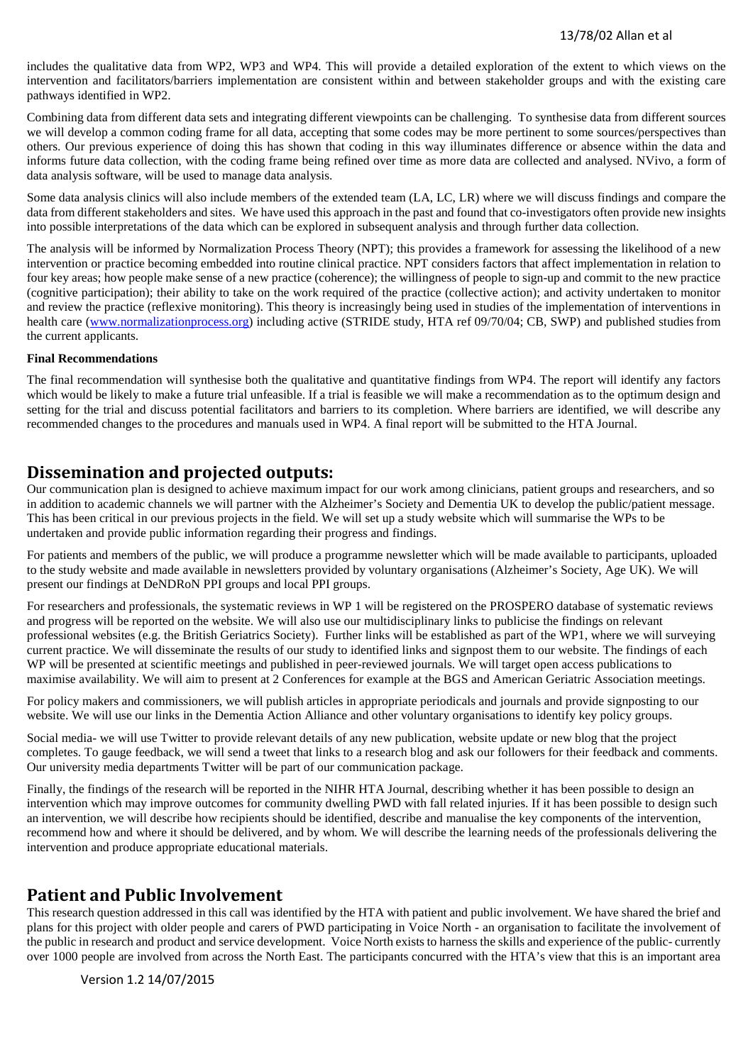includes the qualitative data from WP2, WP3 and WP4. This will provide a detailed exploration of the extent to which views on the intervention and facilitators/barriers implementation are consistent within and between stakeholder groups and with the existing care pathways identified in WP2.

Combining data from different data sets and integrating different viewpoints can be challenging. To synthesise data from different sources we will develop a common coding frame for all data, accepting that some codes may be more pertinent to some sources/perspectives than others. Our previous experience of doing this has shown that coding in this way illuminates difference or absence within the data and informs future data collection, with the coding frame being refined over time as more data are collected and analysed. NVivo, a form of data analysis software, will be used to manage data analysis.

Some data analysis clinics will also include members of the extended team (LA, LC, LR) where we will discuss findings and compare the data from different stakeholders and sites. We have used this approach in the past and found that co-investigators often provide new insights into possible interpretations of the data which can be explored in subsequent analysis and through further data collection.

The analysis will be informed by Normalization Process Theory (NPT); this provides a framework for assessing the likelihood of a new intervention or practice becoming embedded into routine clinical practice. NPT considers factors that affect implementation in relation to four key areas; how people make sense of a new practice (coherence); the willingness of people to sign-up and commit to the new practice (cognitive participation); their ability to take on the work required of the practice (collective action); and activity undertaken to monitor and review the practice (reflexive monitoring). This theory is increasingly being used in studies of the implementation of interventions in health care [\(www.normalizationprocess.org\)](http://www.normalizationprocess.org/) including active (STRIDE study, HTA ref 09/70/04; CB, SWP) and published studies from the current applicants.

#### **Final Recommendations**

The final recommendation will synthesise both the qualitative and quantitative findings from WP4. The report will identify any factors which would be likely to make a future trial unfeasible. If a trial is feasible we will make a recommendation as to the optimum design and setting for the trial and discuss potential facilitators and barriers to its completion. Where barriers are identified, we will describe any recommended changes to the procedures and manuals used in WP4. A final report will be submitted to the HTA Journal.

## **Dissemination and projected outputs:**

Our communication plan is designed to achieve maximum impact for our work among clinicians, patient groups and researchers, and so in addition to academic channels we will partner with the Alzheimer's Society and Dementia UK to develop the public/patient message. This has been critical in our previous projects in the field. We will set up a study website which will summarise the WPs to be undertaken and provide public information regarding their progress and findings.

For patients and members of the public, we will produce a programme newsletter which will be made available to participants, uploaded to the study website and made available in newsletters provided by voluntary organisations (Alzheimer's Society, Age UK). We will present our findings at DeNDRoN PPI groups and local PPI groups.

For researchers and professionals, the systematic reviews in WP 1 will be registered on the PROSPERO database of systematic reviews and progress will be reported on the website. We will also use our multidisciplinary links to publicise the findings on relevant professional websites (e.g. the British Geriatrics Society). Further links will be established as part of the WP1, where we will surveying current practice. We will disseminate the results of our study to identified links and signpost them to our website. The findings of each WP will be presented at scientific meetings and published in peer-reviewed journals. We will target open access publications to maximise availability. We will aim to present at 2 Conferences for example at the BGS and American Geriatric Association meetings.

For policy makers and commissioners, we will publish articles in appropriate periodicals and journals and provide signposting to our website. We will use our links in the Dementia Action Alliance and other voluntary organisations to identify key policy groups.

Social media- we will use Twitter to provide relevant details of any new publication, website update or new blog that the project completes. To gauge feedback, we will send a tweet that links to a research blog and ask our followers for their feedback and comments. Our university media departments Twitter will be part of our communication package.

Finally, the findings of the research will be reported in the NIHR HTA Journal, describing whether it has been possible to design an intervention which may improve outcomes for community dwelling PWD with fall related injuries. If it has been possible to design such an intervention, we will describe how recipients should be identified, describe and manualise the key components of the intervention, recommend how and where it should be delivered, and by whom. We will describe the learning needs of the professionals delivering the intervention and produce appropriate educational materials.

## **Patient and Public Involvement**

This research question addressed in this call was identified by the HTA with patient and public involvement. We have shared the brief and plans for this project with older people and carers of PWD participating in Voice North - an organisation to facilitate the involvement of the public in research and product and service development. Voice North exists to harness the skills and experience of the public- currently over 1000 people are involved from across the North East. The participants concurred with the HTA's view that this is an important area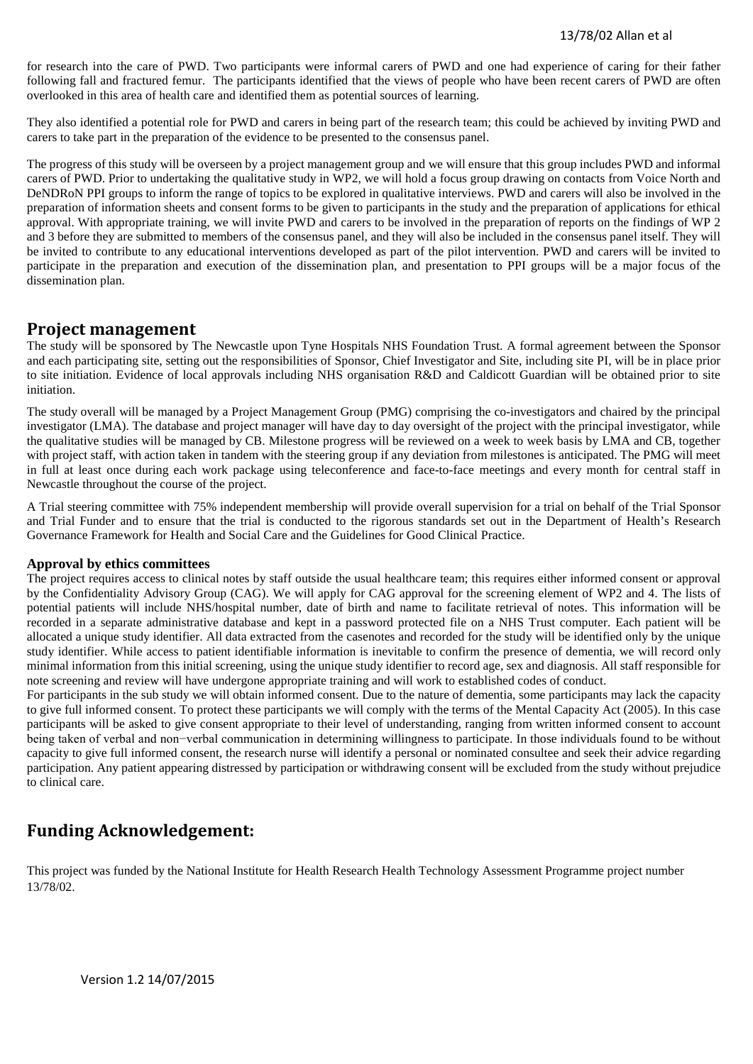for research into the care of PWD. Two participants were informal carers of PWD and one had experience of caring for their father following fall and fractured femur. The participants identified that the views of people who have been recent carers of PWD are often overlooked in this area of health care and identified them as potential sources of learning.

They also identified a potential role for PWD and carers in being part of the research team; this could be achieved by inviting PWD and carers to take part in the preparation of the evidence to be presented to the consensus panel.

The progress of this study will be overseen by a project management group and we will ensure that this group includes PWD and informal carers of PWD. Prior to undertaking the qualitative study in WP2, we will hold a focus group drawing on contacts from Voice North and DeNDRoN PPI groups to inform the range of topics to be explored in qualitative interviews. PWD and carers will also be involved in the preparation of information sheets and consent forms to be given to participants in the study and the preparation of applications for ethical approval. With appropriate training, we will invite PWD and carers to be involved in the preparation of reports on the findings of WP 2 and 3 before they are submitted to members of the consensus panel, and they will also be included in the consensus panel itself. They will be invited to contribute to any educational interventions developed as part of the pilot intervention. PWD and carers will be invited to participate in the preparation and execution of the dissemination plan, and presentation to PPI groups will be a major focus of the dissemination plan.

## **Project management**

The study will be sponsored by The Newcastle upon Tyne Hospitals NHS Foundation Trust. A formal agreement between the Sponsor and each participating site, setting out the responsibilities of Sponsor, Chief Investigator and Site, including site PI, will be in place prior to site initiation. Evidence of local approvals including NHS organisation R&D and Caldicott Guardian will be obtained prior to site initiation.

The study overall will be managed by a Project Management Group (PMG) comprising the co-investigators and chaired by the principal investigator (LMA). The database and project manager will have day to day oversight of the project with the principal investigator, while the qualitative studies will be managed by CB. Milestone progress will be reviewed on a week to week basis by LMA and CB, together with project staff, with action taken in tandem with the steering group if any deviation from milestones is anticipated. The PMG will meet in full at least once during each work package using teleconference and face-to-face meetings and every month for central staff in Newcastle throughout the course of the project.

A Trial steering committee with 75% independent membership will provide overall supervision for a trial on behalf of the Trial Sponsor and Trial Funder and to ensure that the trial is conducted to the rigorous standards set out in the Department of Health's Research Governance Framework for Health and Social Care and the Guidelines for Good Clinical Practice.

## **Approval by ethics committees**

The project requires access to clinical notes by staff outside the usual healthcare team; this requires either informed consent or approval by the Confidentiality Advisory Group (CAG). We will apply for CAG approval for the screening element of WP2 and 4. The lists of potential patients will include NHS/hospital number, date of birth and name to facilitate retrieval of notes. This information will be recorded in a separate administrative database and kept in a password protected file on a NHS Trust computer. Each patient will be allocated a unique study identifier. All data extracted from the casenotes and recorded for the study will be identified only by the unique study identifier. While access to patient identifiable information is inevitable to confirm the presence of dementia, we will record only minimal information from this initial screening, using the unique study identifier to record age, sex and diagnosis. All staff responsible for note screening and review will have undergone appropriate training and will work to established codes of conduct.

For participants in the sub study we will obtain informed consent. Due to the nature of dementia, some participants may lack the capacity to give full informed consent. To protect these participants we will comply with the terms of the Mental Capacity Act (2005). In this case participants will be asked to give consent appropriate to their level of understanding, ranging from written informed consent to account being taken of verbal and non−verbal communication in determining willingness to participate. In those individuals found to be without capacity to give full informed consent, the research nurse will identify a personal or nominated consultee and seek their advice regarding participation. Any patient appearing distressed by participation or withdrawing consent will be excluded from the study without prejudice to clinical care.

# **Funding Acknowledgement:**

This project was funded by the National Institute for Health Research Health Technology Assessment Programme project number 13/78/02.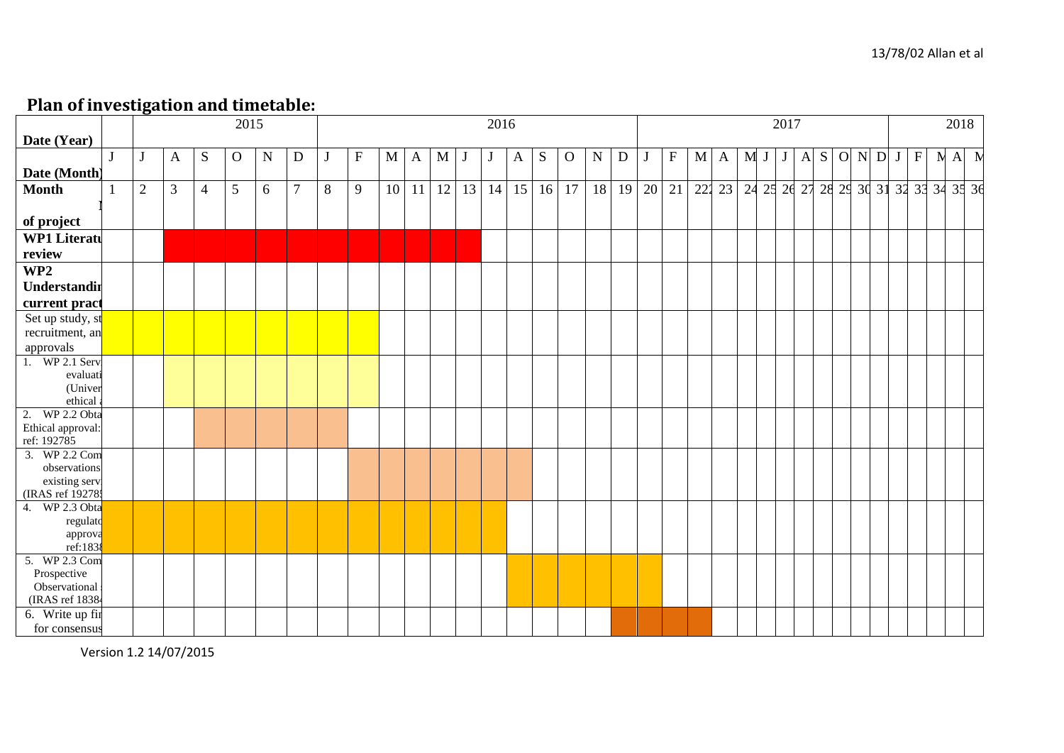# **Plan of investigation and timetable:**

| ---- -- --- · -- <del>--</del> o |   |                | -------- |                | $\overline{20}15$ |           |        |              |                           |                 |    |    |                 | 2016 |              |           |              |           |    | 2017    |             |   |              |     |  |          | 2018         |   |                            |  |  |             |     |  |             |
|----------------------------------|---|----------------|----------|----------------|-------------------|-----------|--------|--------------|---------------------------|-----------------|----|----|-----------------|------|--------------|-----------|--------------|-----------|----|---------|-------------|---|--------------|-----|--|----------|--------------|---|----------------------------|--|--|-------------|-----|--|-------------|
|                                  |   |                |          |                |                   |           |        |              |                           |                 |    |    |                 |      |              |           |              |           |    |         |             |   |              |     |  |          |              |   |                            |  |  |             |     |  |             |
| Date (Year)                      |   |                |          |                |                   |           |        |              |                           |                 |    |    |                 |      |              |           |              |           |    | O N D J |             |   |              |     |  |          |              |   |                            |  |  |             |     |  |             |
|                                  | J |                | A        | S              | $\overline{O}$    | ${\bf N}$ | D      | $\mathbf{J}$ | $\boldsymbol{\mathrm{F}}$ | M               | A  | M  |                 | J    | $\mathbf{A}$ | ${\bf S}$ | $\mathbf{O}$ | ${\bf N}$ | D  | J       | $\mathbf F$ | M | $\mathbf{A}$ | M J |  |          | $\mathbf{A}$ | S |                            |  |  | $\mathbf F$ | N A |  | $\mathbf N$ |
| Date (Month)                     |   |                |          |                |                   |           |        |              |                           |                 |    |    |                 |      |              |           |              |           |    |         |             |   |              |     |  |          |              |   |                            |  |  |             |     |  |             |
| <b>Month</b>                     |   | $\overline{2}$ | 3        | $\overline{4}$ | 5                 | 6         | $\tau$ | 8            | 9                         | 10 <sup>1</sup> | 11 | 12 | $\overline{13}$ | 14   | 15           | 16        | 17           | 18        | 19 | 20      | 21          |   | 222 23       | 24  |  | 25 26 27 |              |   | 28 29 30 31 32 33 34 35 36 |  |  |             |     |  |             |
|                                  |   |                |          |                |                   |           |        |              |                           |                 |    |    |                 |      |              |           |              |           |    |         |             |   |              |     |  |          |              |   |                            |  |  |             |     |  |             |
| of project                       |   |                |          |                |                   |           |        |              |                           |                 |    |    |                 |      |              |           |              |           |    |         |             |   |              |     |  |          |              |   |                            |  |  |             |     |  |             |
| <b>WP1 Literatu</b>              |   |                |          |                |                   |           |        |              |                           |                 |    |    |                 |      |              |           |              |           |    |         |             |   |              |     |  |          |              |   |                            |  |  |             |     |  |             |
| review                           |   |                |          |                |                   |           |        |              |                           |                 |    |    |                 |      |              |           |              |           |    |         |             |   |              |     |  |          |              |   |                            |  |  |             |     |  |             |
| WP2                              |   |                |          |                |                   |           |        |              |                           |                 |    |    |                 |      |              |           |              |           |    |         |             |   |              |     |  |          |              |   |                            |  |  |             |     |  |             |
|                                  |   |                |          |                |                   |           |        |              |                           |                 |    |    |                 |      |              |           |              |           |    |         |             |   |              |     |  |          |              |   |                            |  |  |             |     |  |             |
| Understandir                     |   |                |          |                |                   |           |        |              |                           |                 |    |    |                 |      |              |           |              |           |    |         |             |   |              |     |  |          |              |   |                            |  |  |             |     |  |             |
| current pract                    |   |                |          |                |                   |           |        |              |                           |                 |    |    |                 |      |              |           |              |           |    |         |             |   |              |     |  |          |              |   |                            |  |  |             |     |  |             |
| Set up study, st                 |   |                |          |                |                   |           |        |              |                           |                 |    |    |                 |      |              |           |              |           |    |         |             |   |              |     |  |          |              |   |                            |  |  |             |     |  |             |
| recruitment, an                  |   |                |          |                |                   |           |        |              |                           |                 |    |    |                 |      |              |           |              |           |    |         |             |   |              |     |  |          |              |   |                            |  |  |             |     |  |             |
| approvals                        |   |                |          |                |                   |           |        |              |                           |                 |    |    |                 |      |              |           |              |           |    |         |             |   |              |     |  |          |              |   |                            |  |  |             |     |  |             |
| 1. WP 2.1 Serv.                  |   |                |          |                |                   |           |        |              |                           |                 |    |    |                 |      |              |           |              |           |    |         |             |   |              |     |  |          |              |   |                            |  |  |             |     |  |             |
| evaluati                         |   |                |          |                |                   |           |        |              |                           |                 |    |    |                 |      |              |           |              |           |    |         |             |   |              |     |  |          |              |   |                            |  |  |             |     |  |             |
| (Univer<br>ethical               |   |                |          |                |                   |           |        |              |                           |                 |    |    |                 |      |              |           |              |           |    |         |             |   |              |     |  |          |              |   |                            |  |  |             |     |  |             |
| 2. WP 2.2 Obta                   |   |                |          |                |                   |           |        |              |                           |                 |    |    |                 |      |              |           |              |           |    |         |             |   |              |     |  |          |              |   |                            |  |  |             |     |  |             |
| Ethical approval:                |   |                |          |                |                   |           |        |              |                           |                 |    |    |                 |      |              |           |              |           |    |         |             |   |              |     |  |          |              |   |                            |  |  |             |     |  |             |
| ref: 192785                      |   |                |          |                |                   |           |        |              |                           |                 |    |    |                 |      |              |           |              |           |    |         |             |   |              |     |  |          |              |   |                            |  |  |             |     |  |             |
| 3. WP 2.2 Com                    |   |                |          |                |                   |           |        |              |                           |                 |    |    |                 |      |              |           |              |           |    |         |             |   |              |     |  |          |              |   |                            |  |  |             |     |  |             |
| observations                     |   |                |          |                |                   |           |        |              |                           |                 |    |    |                 |      |              |           |              |           |    |         |             |   |              |     |  |          |              |   |                            |  |  |             |     |  |             |
| existing serv.                   |   |                |          |                |                   |           |        |              |                           |                 |    |    |                 |      |              |           |              |           |    |         |             |   |              |     |  |          |              |   |                            |  |  |             |     |  |             |
| (IRAS ref 19278:                 |   |                |          |                |                   |           |        |              |                           |                 |    |    |                 |      |              |           |              |           |    |         |             |   |              |     |  |          |              |   |                            |  |  |             |     |  |             |
| 4. WP 2.3 Obta                   |   |                |          |                |                   |           |        |              |                           |                 |    |    |                 |      |              |           |              |           |    |         |             |   |              |     |  |          |              |   |                            |  |  |             |     |  |             |
| regulato                         |   |                |          |                |                   |           |        |              |                           |                 |    |    |                 |      |              |           |              |           |    |         |             |   |              |     |  |          |              |   |                            |  |  |             |     |  |             |
| approva<br>ref:183               |   |                |          |                |                   |           |        |              |                           |                 |    |    |                 |      |              |           |              |           |    |         |             |   |              |     |  |          |              |   |                            |  |  |             |     |  |             |
| 5. WP 2.3 Com                    |   |                |          |                |                   |           |        |              |                           |                 |    |    |                 |      |              |           |              |           |    |         |             |   |              |     |  |          |              |   |                            |  |  |             |     |  |             |
| Prospective                      |   |                |          |                |                   |           |        |              |                           |                 |    |    |                 |      |              |           |              |           |    |         |             |   |              |     |  |          |              |   |                            |  |  |             |     |  |             |
| Observational                    |   |                |          |                |                   |           |        |              |                           |                 |    |    |                 |      |              |           |              |           |    |         |             |   |              |     |  |          |              |   |                            |  |  |             |     |  |             |
| (IRAS ref 18384                  |   |                |          |                |                   |           |        |              |                           |                 |    |    |                 |      |              |           |              |           |    |         |             |   |              |     |  |          |              |   |                            |  |  |             |     |  |             |
| 6. Write up fir                  |   |                |          |                |                   |           |        |              |                           |                 |    |    |                 |      |              |           |              |           |    |         |             |   |              |     |  |          |              |   |                            |  |  |             |     |  |             |
| for consensus                    |   |                |          |                |                   |           |        |              |                           |                 |    |    |                 |      |              |           |              |           |    |         |             |   |              |     |  |          |              |   |                            |  |  |             |     |  |             |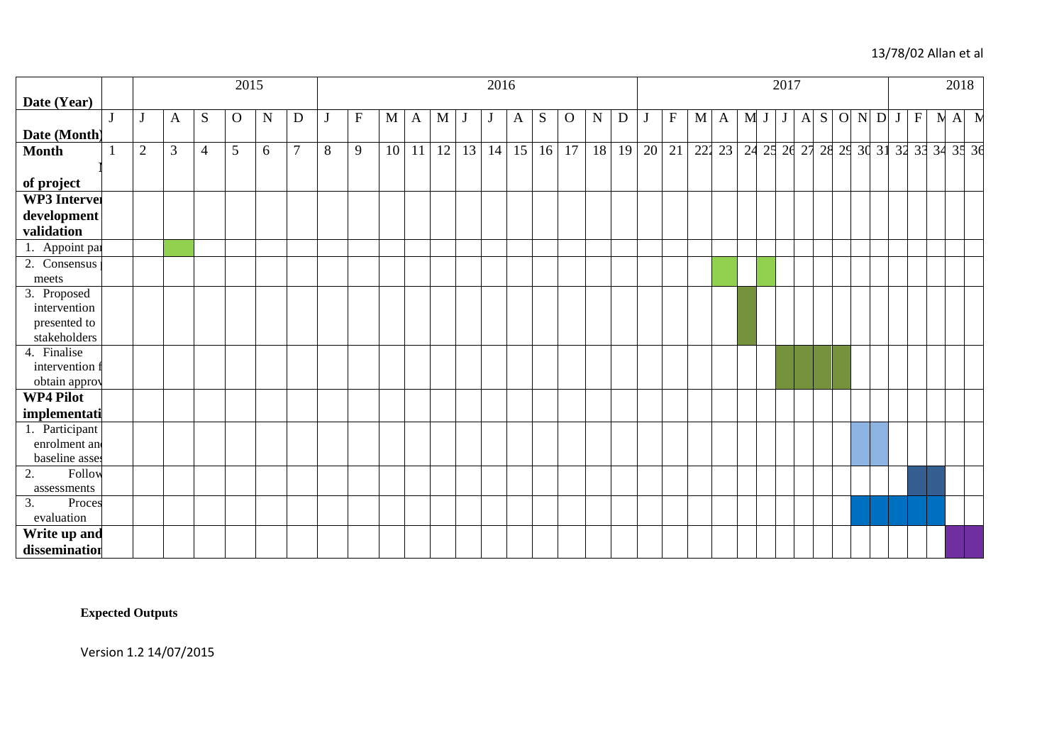## 13/78/02 Allan et al

|                     |                |                |                | 2015     |   |                | 2016<br>2017 |                           |    |    |             |                          |    |    |           |             |           | 2018        |       |                           |             |    |  |                |   |   |   |                |   |              |              |             |                                        |              |             |
|---------------------|----------------|----------------|----------------|----------|---|----------------|--------------|---------------------------|----|----|-------------|--------------------------|----|----|-----------|-------------|-----------|-------------|-------|---------------------------|-------------|----|--|----------------|---|---|---|----------------|---|--------------|--------------|-------------|----------------------------------------|--------------|-------------|
| Date (Year)         |                |                |                |          |   |                |              |                           |    |    |             |                          |    |    |           |             |           |             |       |                           |             |    |  |                |   |   |   |                |   |              |              |             |                                        |              |             |
|                     | J              | A              | S              | $\Omega$ | N | D              | J            | $\boldsymbol{\mathrm{F}}$ | M  | A  | $\mathbf M$ | $\overline{\phantom{a}}$ | J  | A  | ${\bf S}$ | $\mathbf O$ | ${\bf N}$ | $\mathbf D$ |       | $\boldsymbol{\mathrm{F}}$ | $\mathbf M$ | A  |  | M <sub>J</sub> | J | A | S | $\overline{O}$ | N | $\mathbf{D}$ | $\mathbf{J}$ | $\mathbf F$ | $\mathbf{N}$                           | $\mathbf{A}$ | $\mathbf N$ |
| Date (Month)        |                |                |                |          |   |                |              |                           |    |    |             |                          |    |    |           |             |           |             |       |                           |             |    |  |                |   |   |   |                |   |              |              |             |                                        |              |             |
| <b>Month</b>        | $\overline{2}$ | $\mathfrak{Z}$ | $\overline{4}$ | 5        | 6 | $\overline{7}$ | 8            | 9                         | 10 | 11 | 12          | 13                       | 14 | 15 | 16        | 17          | 18        | 19          | 20 21 |                           | 222         | 23 |  |                |   |   |   |                |   |              |              |             | 24 25 26 27 28 29 30 31 32 33 34 35 36 |              |             |
|                     |                |                |                |          |   |                |              |                           |    |    |             |                          |    |    |           |             |           |             |       |                           |             |    |  |                |   |   |   |                |   |              |              |             |                                        |              |             |
| of project          |                |                |                |          |   |                |              |                           |    |    |             |                          |    |    |           |             |           |             |       |                           |             |    |  |                |   |   |   |                |   |              |              |             |                                        |              |             |
| <b>WP3</b> Interver |                |                |                |          |   |                |              |                           |    |    |             |                          |    |    |           |             |           |             |       |                           |             |    |  |                |   |   |   |                |   |              |              |             |                                        |              |             |
| development         |                |                |                |          |   |                |              |                           |    |    |             |                          |    |    |           |             |           |             |       |                           |             |    |  |                |   |   |   |                |   |              |              |             |                                        |              |             |
| validation          |                |                |                |          |   |                |              |                           |    |    |             |                          |    |    |           |             |           |             |       |                           |             |    |  |                |   |   |   |                |   |              |              |             |                                        |              |             |
| 1. Appoint par      |                |                |                |          |   |                |              |                           |    |    |             |                          |    |    |           |             |           |             |       |                           |             |    |  |                |   |   |   |                |   |              |              |             |                                        |              |             |
| 2. Consensus        |                |                |                |          |   |                |              |                           |    |    |             |                          |    |    |           |             |           |             |       |                           |             |    |  |                |   |   |   |                |   |              |              |             |                                        |              |             |
| meets               |                |                |                |          |   |                |              |                           |    |    |             |                          |    |    |           |             |           |             |       |                           |             |    |  |                |   |   |   |                |   |              |              |             |                                        |              |             |
| 3. Proposed         |                |                |                |          |   |                |              |                           |    |    |             |                          |    |    |           |             |           |             |       |                           |             |    |  |                |   |   |   |                |   |              |              |             |                                        |              |             |
| intervention        |                |                |                |          |   |                |              |                           |    |    |             |                          |    |    |           |             |           |             |       |                           |             |    |  |                |   |   |   |                |   |              |              |             |                                        |              |             |
| presented to        |                |                |                |          |   |                |              |                           |    |    |             |                          |    |    |           |             |           |             |       |                           |             |    |  |                |   |   |   |                |   |              |              |             |                                        |              |             |
| stakeholders        |                |                |                |          |   |                |              |                           |    |    |             |                          |    |    |           |             |           |             |       |                           |             |    |  |                |   |   |   |                |   |              |              |             |                                        |              |             |
| 4. Finalise         |                |                |                |          |   |                |              |                           |    |    |             |                          |    |    |           |             |           |             |       |                           |             |    |  |                |   |   |   |                |   |              |              |             |                                        |              |             |
| intervention f      |                |                |                |          |   |                |              |                           |    |    |             |                          |    |    |           |             |           |             |       |                           |             |    |  |                |   |   |   |                |   |              |              |             |                                        |              |             |
| obtain approv       |                |                |                |          |   |                |              |                           |    |    |             |                          |    |    |           |             |           |             |       |                           |             |    |  |                |   |   |   |                |   |              |              |             |                                        |              |             |
| WP4 Pilot           |                |                |                |          |   |                |              |                           |    |    |             |                          |    |    |           |             |           |             |       |                           |             |    |  |                |   |   |   |                |   |              |              |             |                                        |              |             |
| implementati        |                |                |                |          |   |                |              |                           |    |    |             |                          |    |    |           |             |           |             |       |                           |             |    |  |                |   |   |   |                |   |              |              |             |                                        |              |             |
| 1. Participant      |                |                |                |          |   |                |              |                           |    |    |             |                          |    |    |           |             |           |             |       |                           |             |    |  |                |   |   |   |                |   |              |              |             |                                        |              |             |
| enrolment and       |                |                |                |          |   |                |              |                           |    |    |             |                          |    |    |           |             |           |             |       |                           |             |    |  |                |   |   |   |                |   |              |              |             |                                        |              |             |
| baseline asses      |                |                |                |          |   |                |              |                           |    |    |             |                          |    |    |           |             |           |             |       |                           |             |    |  |                |   |   |   |                |   |              |              |             |                                        |              |             |
| Follow<br>2.        |                |                |                |          |   |                |              |                           |    |    |             |                          |    |    |           |             |           |             |       |                           |             |    |  |                |   |   |   |                |   |              |              |             |                                        |              |             |
| assessments         |                |                |                |          |   |                |              |                           |    |    |             |                          |    |    |           |             |           |             |       |                           |             |    |  |                |   |   |   |                |   |              |              |             |                                        |              |             |
| 3.<br>Proces        |                |                |                |          |   |                |              |                           |    |    |             |                          |    |    |           |             |           |             |       |                           |             |    |  |                |   |   |   |                |   |              |              |             |                                        |              |             |
| evaluation          |                |                |                |          |   |                |              |                           |    |    |             |                          |    |    |           |             |           |             |       |                           |             |    |  |                |   |   |   |                |   |              |              |             |                                        |              |             |
| Write up and        |                |                |                |          |   |                |              |                           |    |    |             |                          |    |    |           |             |           |             |       |                           |             |    |  |                |   |   |   |                |   |              |              |             |                                        |              |             |
| dissemination       |                |                |                |          |   |                |              |                           |    |    |             |                          |    |    |           |             |           |             |       |                           |             |    |  |                |   |   |   |                |   |              |              |             |                                        |              |             |

**Expected Outputs**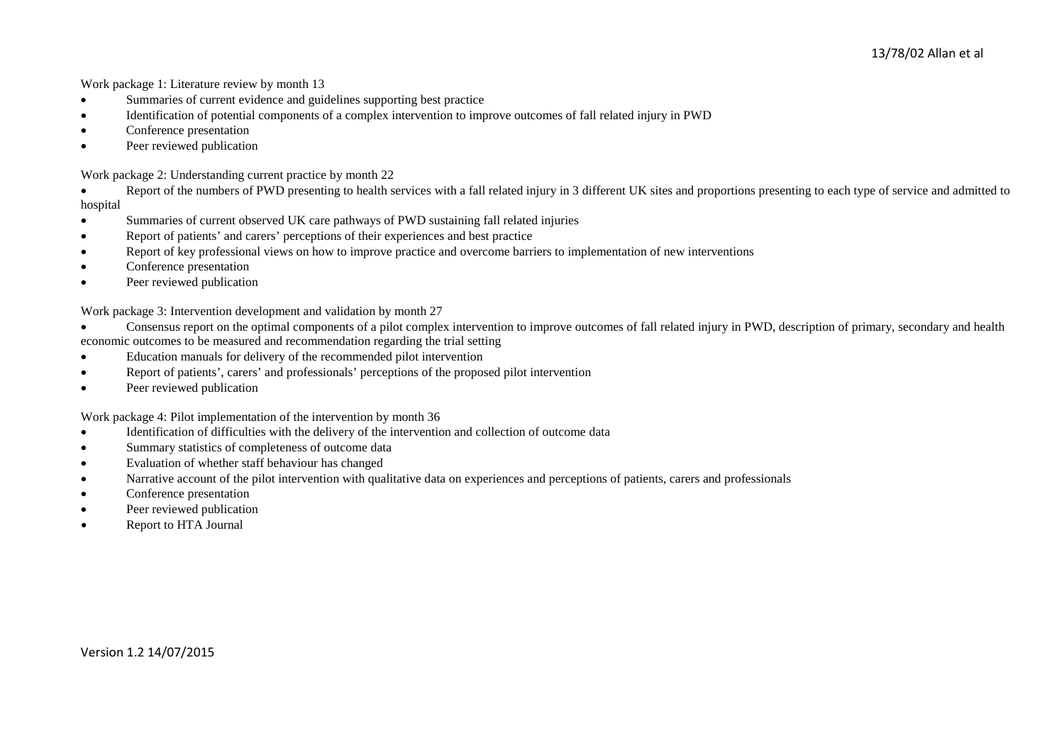Work package 1: Literature review by month 13

- Summaries of current evidence and guidelines supporting best practice
- Identification of potential components of a complex intervention to improve outcomes of fall related injury in PWD
- Conference presentation
- Peer reviewed publication

Work package 2: Understanding current practice by month 22

• Report of the numbers of PWD presenting to health services with a fall related injury in 3 different UK sites and proportions presenting to each type of service and admitted to hospital

- Summaries of current observed UK care pathways of PWD sustaining fall related injuries
- Report of patients' and carers' perceptions of their experiences and best practice
- Report of key professional views on how to improve practice and overcome barriers to implementation of new interventions
- Conference presentation
- Peer reviewed publication

Work package 3: Intervention development and validation by month 27

- Consensus report on the optimal components of a pilot complex intervention to improve outcomes of fall related injury in PWD, description of primary, secondary and health economic outcomes to be measured and recommendation regarding the trial setting
- Education manuals for delivery of the recommended pilot intervention
- Report of patients', carers' and professionals' perceptions of the proposed pilot intervention
- Peer reviewed publication

Work package 4: Pilot implementation of the intervention by month 36

- Identification of difficulties with the delivery of the intervention and collection of outcome data
- Summary statistics of completeness of outcome data
- Evaluation of whether staff behaviour has changed
- Narrative account of the pilot intervention with qualitative data on experiences and perceptions of patients, carers and professionals
- Conference presentation
- Peer reviewed publication
- Report to HTA Journal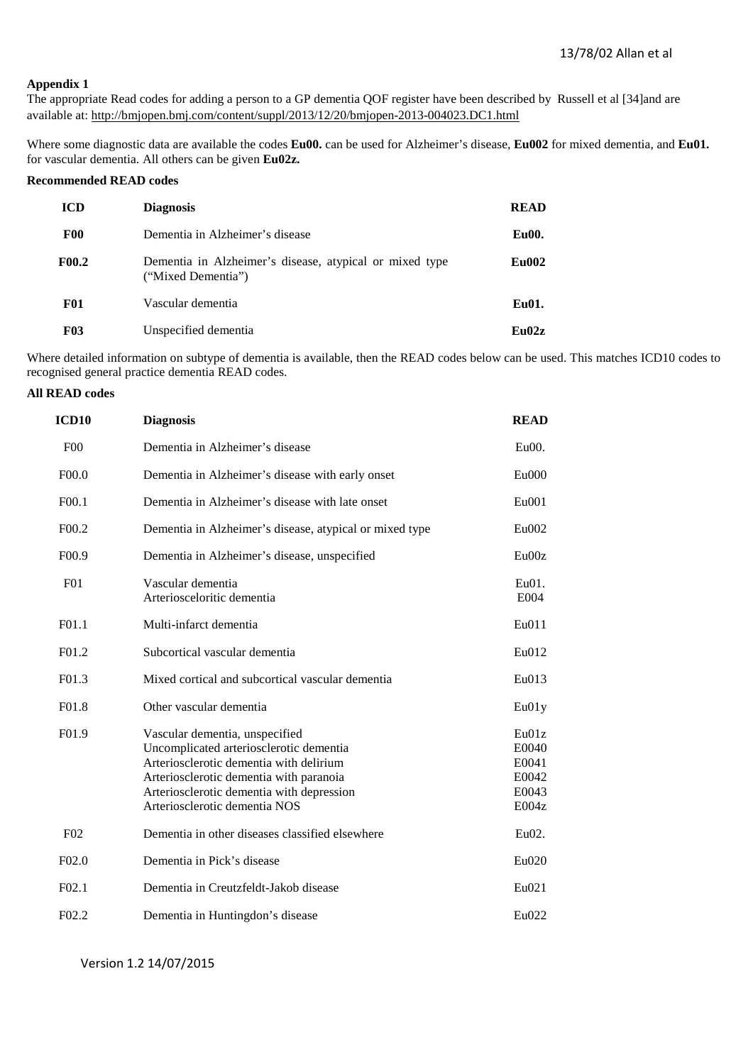## **Appendix 1**

The appropriate Read codes for adding a person to a GP dementia QOF register have been described by Russell et al [34]and are available at: <http://bmjopen.bmj.com/content/suppl/2013/12/20/bmjopen-2013-004023.DC1.html>

Where some diagnostic data are available the codes **Eu00.** can be used for Alzheimer's disease, **Eu002** for mixed dementia, and **Eu01.** for vascular dementia. All others can be given **Eu02z.**

## **Recommended READ codes**

| <b>ICD</b>   | <b>Diagnosis</b>                                                              | <b>READ</b>  |
|--------------|-------------------------------------------------------------------------------|--------------|
| <b>F00</b>   | Dementia in Alzheimer's disease                                               | Eu00.        |
| <b>F00.2</b> | Dementia in Alzheimer's disease, atypical or mixed type<br>("Mixed Dementia") | <b>Eu002</b> |
| <b>F01</b>   | Vascular dementia                                                             | Eu01.        |
| <b>F03</b>   | Unspecified dementia                                                          | Eu02z        |

Where detailed information on subtype of dementia is available, then the READ codes below can be used. This matches ICD10 codes to recognised general practice dementia READ codes.

## **All READ codes**

| ICD <sub>10</sub>  | <b>Diagnosis</b>                                                                                                                                                                                                                              | <b>READ</b>                                        |
|--------------------|-----------------------------------------------------------------------------------------------------------------------------------------------------------------------------------------------------------------------------------------------|----------------------------------------------------|
| F <sub>00</sub>    | Dementia in Alzheimer's disease                                                                                                                                                                                                               | Eu00.                                              |
| F00.0              | Dementia in Alzheimer's disease with early onset                                                                                                                                                                                              | $Eu$ 000                                           |
| F <sub>00.1</sub>  | Dementia in Alzheimer's disease with late onset                                                                                                                                                                                               | Eu001                                              |
| F <sub>0</sub> 0.2 | Dementia in Alzheimer's disease, atypical or mixed type                                                                                                                                                                                       | Eu002                                              |
| F <sub>00.9</sub>  | Dementia in Alzheimer's disease, unspecified                                                                                                                                                                                                  | Eu00z                                              |
| F <sub>01</sub>    | Vascular dementia<br>Arteriosceloritic dementia                                                                                                                                                                                               | $Eu01$ .<br>E004                                   |
| F <sub>01.1</sub>  | Multi-infarct dementia                                                                                                                                                                                                                        | Eu <sub>011</sub>                                  |
| F <sub>01.2</sub>  | Subcortical vascular dementia                                                                                                                                                                                                                 | Eu012                                              |
| F <sub>01.3</sub>  | Mixed cortical and subcortical vascular dementia                                                                                                                                                                                              | Eu013                                              |
| F <sub>01.8</sub>  | Other vascular dementia                                                                                                                                                                                                                       | Eu01y                                              |
| F <sub>01.9</sub>  | Vascular dementia, unspecified<br>Uncomplicated arteriosclerotic dementia<br>Arteriosclerotic dementia with delirium<br>Arteriosclerotic dementia with paranoia<br>Arteriosclerotic dementia with depression<br>Arteriosclerotic dementia NOS | Eu01z<br>E0040<br>E0041<br>E0042<br>E0043<br>E004z |
| F <sub>02</sub>    | Dementia in other diseases classified elsewhere                                                                                                                                                                                               | Eu02.                                              |
| F02.0              | Dementia in Pick's disease                                                                                                                                                                                                                    | Eu020                                              |
| F <sub>02.1</sub>  | Dementia in Creutzfeldt-Jakob disease                                                                                                                                                                                                         | Eu021                                              |
| F <sub>02.2</sub>  | Dementia in Huntingdon's disease                                                                                                                                                                                                              | Eu022                                              |